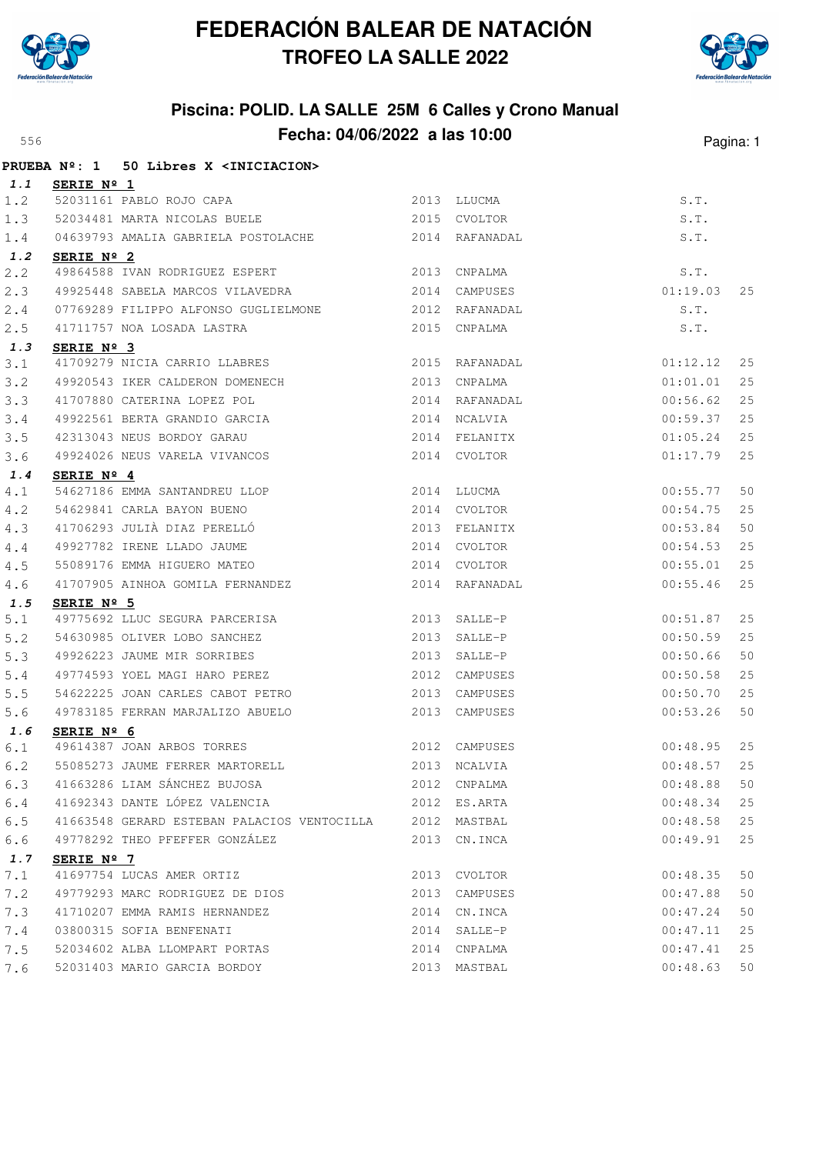



|            | PRUEBA Nº: 1 50 Libres X <iniciacion></iniciacion>                |      |                           |                      |          |
|------------|-------------------------------------------------------------------|------|---------------------------|----------------------|----------|
| 1.1        | SERIE $N^{\circ}$ 1                                               |      |                           |                      |          |
| 1.2        | 52031161 PABLO ROJO CAPA                                          |      | 2013 LLUCMA               | S.T.                 |          |
| 1.3        | 52034481 MARTA NICOLAS BUELE 2015 CVOLTOR                         |      |                           | S.T.                 |          |
| 1.4        | 04639793 AMALIA GABRIELA POSTOLACHE 2014 RAFANADAL                |      |                           | S.T.                 |          |
| 1.2        | SERIE Nº 2                                                        |      |                           |                      |          |
| 2.2        | 49864588 IVAN RODRIGUEZ ESPERT 2013 CNPALMA                       |      |                           | S.T.                 |          |
| 2.3        |                                                                   |      |                           | 01:19.03             | 25       |
| 2.4        | 07769289 FILIPPO ALFONSO GUGLIELMONE 2012 RAFANADAL               |      |                           | S.T.                 |          |
| 2.5        | 41711757 NOA LOSADA LASTRA                                        |      | 2015 CNPALMA              | S.T.                 |          |
| 1.3        | SERIE Nº 3                                                        |      |                           |                      |          |
| 3.1        | 41709279 NICIA CARRIO LLABRES 2015 RAFANADAL                      |      |                           | 01:12.12             | 25       |
| 3.2        | 49920543 IKER CALDERON DOMENECH 2013                              |      | CNPALMA                   | 01:01.01             | 25       |
| 3.3        | 41707880 CATERINA LOPEZ POL                                       |      | 2014 RAFANADAL            | 00:56.62             | 25       |
| 3.4        | 49922561 BERTA GRANDIO GARCIA                                     |      | 2014 NCALVIA              | 00:59.37             | 25       |
| 3.5        | 42313043 NEUS BORDOY GARAU                                        |      | 2014 FELANITX             | 01:05.24             | 25       |
| 3.6        | 49924026 NEUS VARELA VIVANCOS                                     |      | 2014 CVOLTOR              | 01:17.79             | 25       |
| 1.4        | SERIE Nº 4                                                        |      |                           |                      |          |
| 4.1        | 54627186 EMMA SANTANDREU LLOP                                     |      | 2014 LLUCMA               | 00:55.77             | 50       |
| 4.2        | 54629841 CARLA BAYON BUENO<br>41706293 JULIÀ DIAZ PERELLÓ         |      | 2014 CVOLTOR              | 00:54.75             | 25       |
| 4.3        |                                                                   |      | 2013 FELANITX             | 00:53.84             | 50       |
| 4.4        | 49927782 IRENE LLADO JAUME                                        |      | 2014 CVOLTOR              | 00:54.53             | 25       |
| 4.5        | 55089176 EMMA HIGUERO MATEO                                       |      | 2014 CVOLTOR              | 00:55.01             | 25       |
| 4.6        | 41707905 AINHOA GOMILA FERNANDEZ                                  |      | 2014 RAFANADAL            | 00:55.46             | 25       |
| 1.5        | SERIE Nº 5                                                        |      | 2013 SALLE-P              |                      | 25       |
| $5.1$      | 49775692 LLUC SEGURA PARCERISA<br>54630985 OLIVER LOBO SANCHEZ    | 2013 | SALLE-P                   | 00:51.87<br>00:50.59 | 25       |
| 5.2<br>5.3 |                                                                   |      |                           |                      |          |
|            | 49926223 JAUME MIR SORRIBES                                       | 2013 | SALLE-P                   | 00:50.66             | 50<br>25 |
| $5.4$      | 49774593 YOEL MAGI HARO PEREZ<br>54622225 JOAN CARLES CABOT PETRO |      | 2012 CAMPUSES<br>CAMPUSES | 00:50.58             |          |
| 5.5        | 49783185 FERRAN MARJALIZO ABUELO                                  | 2013 |                           | 00:50.70<br>00:53.26 | 25       |
| 5.6        |                                                                   |      | 2013 CAMPUSES             |                      | 50       |
| 1.6<br>6.1 | SERIE Nº 6                                                        |      | 2012 CAMPUSES             | 00:48.95             | 25       |
| 6.2        | 49614387 JOAN ARBOS TORRES<br>55085273 JAUME FERRER MARTORELL     |      | 2013 NCALVIA              | 00:48.57             | 25       |
| 6.3        | 41663286 LIAM SÁNCHEZ BUJOSA                                      |      | 2012 CNPALMA              | 00:48.88             | 50       |
| 6.4        | 41692343 DANTE LÓPEZ VALENCIA                                     |      | 2012 ES.ARTA              | 00:48.34             | 25       |
| 6.5        | 41663548 GERARD ESTEBAN PALACIOS VENTOCILLA 2012 MASTBAL          |      |                           | 00:48.58             | 25       |
| 6.6        | 49778292 THEO PFEFFER GONZÁLEZ                                    |      | 2013 CN. INCA             | 00:49.91             | 25       |
| 1.7        |                                                                   |      |                           |                      |          |
| 7.1        | SERIE Nº 7<br>41697754 LUCAS AMER ORTIZ                           | 2013 | CVOLTOR                   | 00:48.35             | 50       |
| 7.2        | 49779293 MARC RODRIGUEZ DE DIOS                                   | 2013 | CAMPUSES                  | 00:47.88             | 50       |
| 7.3        | 41710207 EMMA RAMIS HERNANDEZ                                     |      | 2014 CN. INCA             | 00:47.24             | 50       |
| 7.4        | 03800315 SOFIA BENFENATI                                          |      | 2014 SALLE-P              | 00:47.11             | 25       |
| 7.5        | 52034602 ALBA LLOMPART PORTAS                                     |      | 2014 CNPALMA              | 00:47.41             | 25       |
| 7.6        | 52031403 MARIO GARCIA BORDOY                                      |      | 2013 MASTBAL              | 00:48.63             | 50       |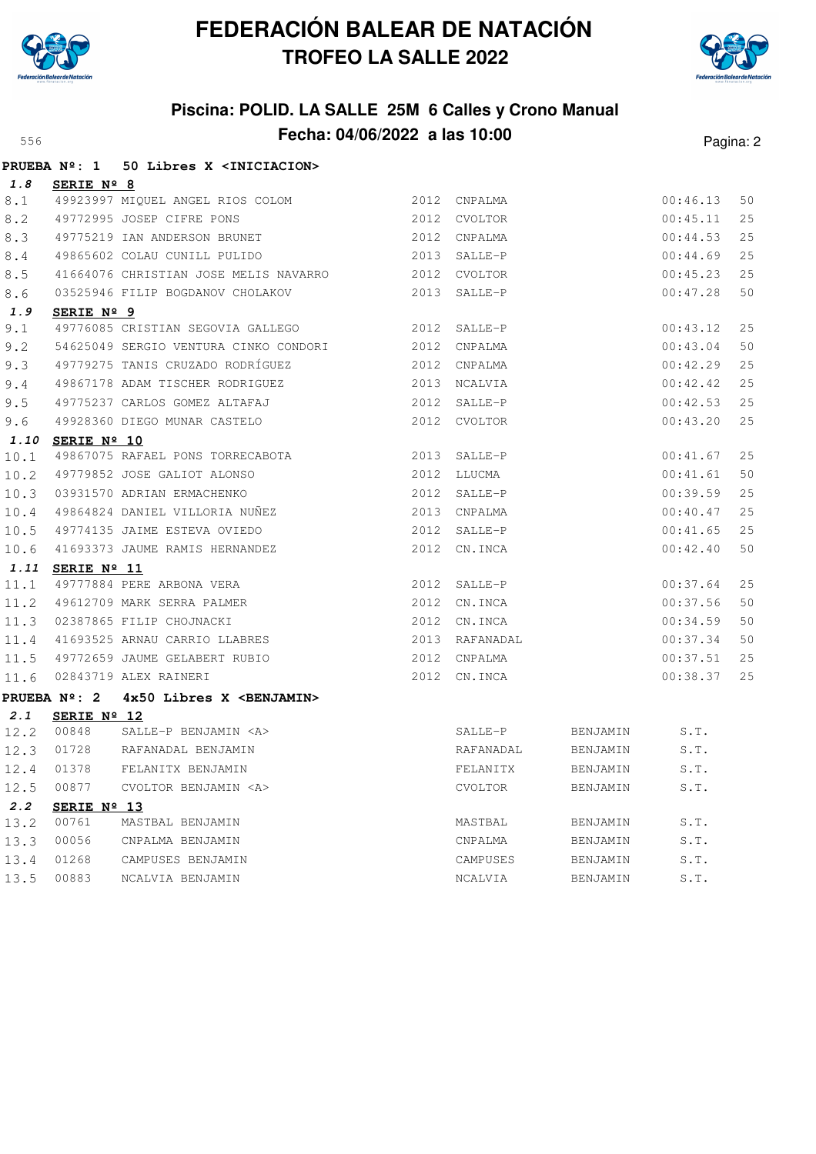



|      |                  | PRUEBA Nº: 1 50 Libres X <iniciacion></iniciacion>                                  |              |                |          |          |    |
|------|------------------|-------------------------------------------------------------------------------------|--------------|----------------|----------|----------|----|
| 1.8  | SERIE Nº 8       |                                                                                     |              |                |          |          |    |
| 8.1  |                  | 49923997 MIQUEL ANGEL RIOS COLOM 2012 CNPALMA                                       |              |                |          | 00:46.13 | 50 |
| 8.2  |                  |                                                                                     |              |                |          | 00:45.11 | 25 |
| 8.3  |                  | 49772995 JOSEP CIFRE PONS 2012 CVOLTOR<br>49775219 IAN ANDERSON BRUNET 2012 CNPALMA |              |                |          | 00:44.53 | 25 |
| 8.4  |                  | 49865602 COLAU CUNILL PULIDO 2013 SALLE-P                                           |              |                |          | 00:44.69 | 25 |
| 8.5  |                  | 41664076 CHRISTIAN JOSE MELIS NAVARRO 2012 CVOLTOR                                  |              |                |          | 00:45.23 | 25 |
| 8.6  |                  | 03525946 FILIP BOGDANOV CHOLAKOV 2013 SALLE-P                                       |              |                |          | 00:47.28 | 50 |
| 1.9  | SERIE Nº 9       |                                                                                     |              |                |          |          |    |
| 9.1  |                  | 49776085 CRISTIAN SEGOVIA GALLEGO 2012 SALLE-P                                      |              |                |          | 00:43.12 | 25 |
| 9.2  |                  | 54625049 SERGIO VENTURA CINKO CONDORI 2012 CNPALMA                                  |              |                |          | 00:43.04 | 50 |
| 9.3  |                  | 49779275 TANIS CRUZADO RODRÍGUEZ                                                    | 2012 CNPALMA |                |          | 00:42.29 | 25 |
| 9.4  |                  | 49867178 ADAM TISCHER RODRIGUEZ 2013 NCALVIA                                        |              |                |          | 00:42.42 | 25 |
| 9.5  |                  | 49775237 CARLOS GOMEZ ALTAFAJ                                                       |              | 2012 SALLE-P   |          | 00:42.53 | 25 |
| 9.6  |                  | 49928360 DIEGO MUNAR CASTELO 2012 CVOLTOR                                           |              |                |          | 00:43.20 | 25 |
|      | 1.10 SERIE Nº 10 |                                                                                     |              |                |          |          |    |
| 10.1 |                  | 49867075 RAFAEL PONS TORRECABOTA 2013 SALLE-P                                       |              |                |          | 00:41.67 | 25 |
| 10.2 |                  |                                                                                     | 2012 LLUCMA  |                |          | 00:41.61 | 50 |
| 10.3 |                  | 49779852 JOSE GALIOT ALONSO<br>03931570 ADRIAN ERMACHENKO                           |              | 2012 SALLE-P   |          | 00:39.59 | 25 |
| 10.4 |                  | 49864824 DANIEL VILLORIA NUÑEZ 2013 CNPALMA                                         |              |                |          | 00:40.47 | 25 |
| 10.5 |                  |                                                                                     |              |                |          | 00:41.65 | 25 |
| 10.6 |                  | 41693373 JAUME RAMIS HERNANDEZ                                                      |              | 2012 CN.INCA   |          | 00:42.40 | 50 |
| 1.11 | SERIE Nº 11      |                                                                                     |              |                |          |          |    |
| 11.1 |                  | 49777884 PERE ARBONA VERA                                                           |              | 2012 SALLE-P   |          | 00:37.64 | 25 |
| 11.2 |                  | 49612709 MARK SERRA PALMER                                                          | 2012 CN.INCA |                |          | 00:37.56 | 50 |
| 11.3 |                  | 02387865 FILIP CHOJNACKI                                                            |              | 2012 CN.INCA   |          | 00:34.59 | 50 |
| 11.4 |                  | 41693525 ARNAU CARRIO LLABRES                                                       |              | 2013 RAFANADAL |          | 00:37.34 | 50 |
| 11.5 |                  | 49772659 JAUME GELABERT RUBIO 2012 CNPALMA                                          |              |                |          | 00:37.51 | 25 |
| 11.6 |                  | 02843719 ALEX RAINERI                                                               | 2012 CN.INCA |                |          | 00:38.37 | 25 |
|      |                  | PRUEBA Nº: 2 4x50 Libres X <benjamin></benjamin>                                    |              |                |          |          |    |
| 2.1  | SERIE Nº 12      |                                                                                     |              |                |          |          |    |
| 12.2 | 00848            | SALLE-P BENJAMIN <a></a>                                                            |              | SALLE-P        | BENJAMIN | S.T.     |    |
| 12.3 | 01728            | RAFANADAL BENJAMIN                                                                  |              | RAFANADAL      | BENJAMIN | S.T.     |    |
|      |                  |                                                                                     |              |                |          |          |    |
| 12.5 | 00877            | CVOLTOR BENJAMIN <a></a>                                                            |              | CVOLTOR        | BENJAMIN | S.T.     |    |
| 2.2  | SERIE Nº 13      |                                                                                     |              |                |          |          |    |
| 13.2 | 00761            | MASTBAL BENJAMIN                                                                    |              | MASTBAL        | BENJAMIN | S.T.     |    |
| 13.3 | 00056            | CNPALMA BENJAMIN                                                                    |              | CNPALMA        | BENJAMIN | S.T.     |    |
| 13.4 | 01268            | CAMPUSES BENJAMIN                                                                   |              | CAMPUSES       | BENJAMIN | S.T.     |    |
| 13.5 | 00883            | NCALVIA BENJAMIN                                                                    |              | NCALVIA        | BENJAMIN | S.T.     |    |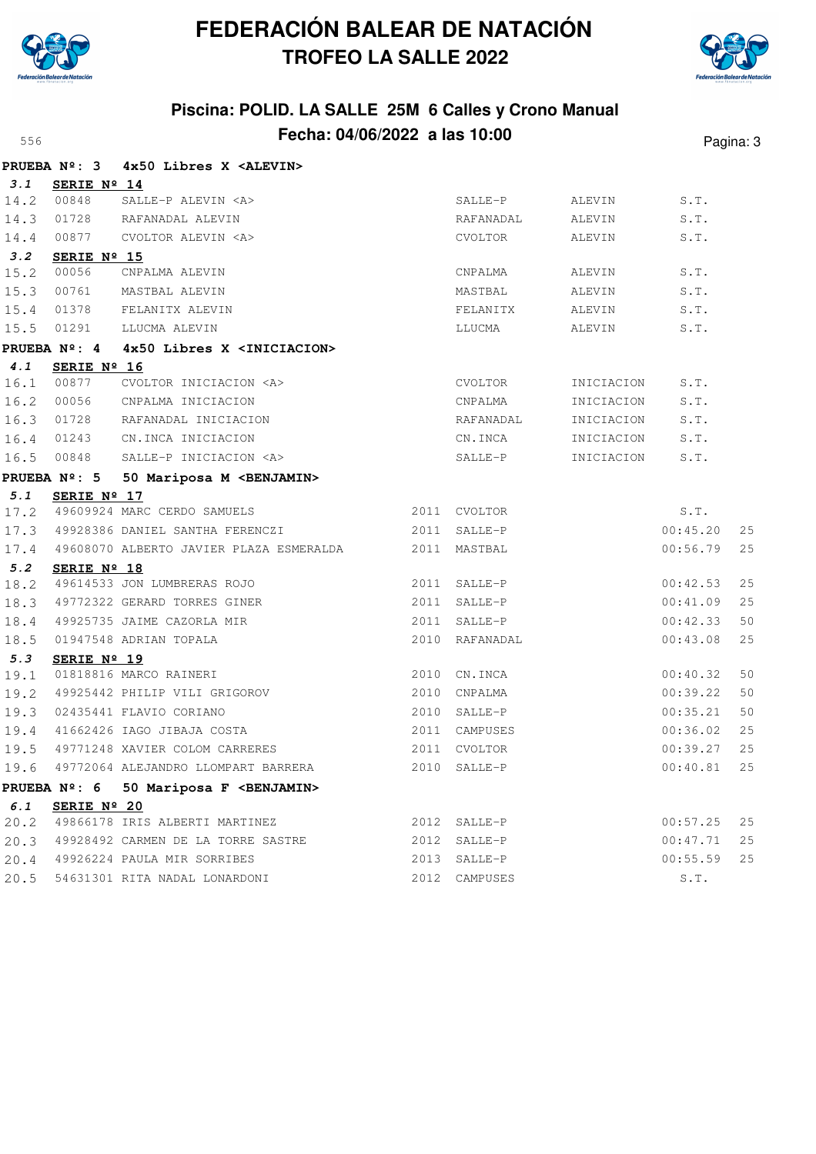



|      | <b>PRUEBA Nº: 3</b>  | 4x50 Libres X <alevin></alevin>                      |                |            |          |    |
|------|----------------------|------------------------------------------------------|----------------|------------|----------|----|
| 3.1  | SERIE Nº 14          |                                                      |                |            |          |    |
| 14.2 | 00848                | SALLE-P ALEVIN <a></a>                               | SALLE-P        | ALEVIN     | S.T.     |    |
| 14.3 | 01728                | RAFANADAL ALEVIN                                     | RAFANADAL      | ALEVIN     | S.T.     |    |
| 14.4 | 00877                | CVOLTOR ALEVIN <a></a>                               | CVOLTOR        | ALEVIN     | S.T.     |    |
| 3.2  | SERIE Nº 15          |                                                      |                |            |          |    |
| 15.2 | 00056                | CNPALMA ALEVIN                                       | CNPALMA        | ALEVIN     | S.T.     |    |
| 15.3 | 00761                | MASTBAL ALEVIN                                       | MASTBAL        | ALEVIN     | S.T.     |    |
| 15.4 | 01378                | FELANITX ALEVIN                                      | FELANITX       | ALEVIN     | S.T.     |    |
| 15.5 | 01291                | LLUCMA ALEVIN                                        | LLUCMA         | ALEVIN     | S.T.     |    |
|      | PRUEBA Nº: 4         | 4x50 Libres X <iniciacion></iniciacion>              |                |            |          |    |
| 4.1  | SERIE Nº 16          |                                                      |                |            |          |    |
| 16.1 | 00877                | CVOLTOR INICIACION <a></a>                           | CVOLTOR        | INICIACION | S.T.     |    |
| 16.2 | 00056                | CNPALMA INICIACION                                   | CNPALMA        | INICIACION | S.T.     |    |
| 16.3 | 01728                | RAFANADAL INICIACION                                 | RAFANADAL      | INICIACION | S.T.     |    |
| 16.4 | 01243                | CN.INCA INICIACION                                   | CN.INCA        | INICIACION | S.T.     |    |
| 16.5 | 00848                | SALLE-P INICIACION <a></a>                           | SALLE-P        | INICIACION | S.T.     |    |
|      | <b>PRUEBA Nº: 5</b>  | 50 Mariposa M <benjamin></benjamin>                  |                |            |          |    |
| 5.1  | SERIE $N^{\circ}$ 17 |                                                      |                |            |          |    |
|      |                      | 17.2 49609924 MARC CERDO SAMUELS                     | 2011 CVOLTOR   |            | S.T.     |    |
| 17.3 |                      | 49928386 DANIEL SANTHA FERENCZI                      | 2011 SALLE-P   |            | 00:45.20 | 25 |
| 17.4 |                      | 49608070 ALBERTO JAVIER PLAZA ESMERALDA 2011 MASTBAL |                |            | 00:56.79 | 25 |
| 5.2  | SERIE Nº 18          |                                                      |                |            |          |    |
| 18.2 |                      | 49614533 JON LUMBRERAS ROJO                          | 2011 SALLE-P   |            | 00:42.53 | 25 |
| 18.3 |                      | 49772322 GERARD TORRES GINER                         | 2011 SALLE-P   |            | 00:41.09 | 25 |
| 18.4 |                      | 49925735 JAIME CAZORLA MIR                           | 2011 SALLE-P   |            | 00:42.33 | 50 |
| 18.5 |                      | 01947548 ADRIAN TOPALA                               | 2010 RAFANADAL |            | 00:43.08 | 25 |
| 5.3  | SERIE Nº 19          |                                                      |                |            |          |    |
| 19.1 |                      | 01818816 MARCO RAINERI                               | 2010 CN.INCA   |            | 00:40.32 | 50 |
| 19.2 |                      | 49925442 PHILIP VILI GRIGOROV                        | 2010 CNPALMA   |            | 00:39.22 | 50 |
| 19.3 |                      | 02435441 FLAVIO CORIANO                              | 2010 SALLE-P   |            | 00:35.21 | 50 |
| 19.4 |                      | 41662426 IAGO JIBAJA COSTA                           | 2011 CAMPUSES  |            | 00:36.02 | 25 |
| 19.5 |                      | 49771248 XAVIER COLOM CARRERES                       | 2011 CVOLTOR   |            | 00:39.27 | 25 |
| 19.6 |                      | 49772064 ALEJANDRO LLOMPART BARRERA                  | 2010 SALLE-P   |            | 00:40.81 | 25 |
|      | PRUEBA Nº: 6         | 50 Mariposa F <benjamin></benjamin>                  |                |            |          |    |
| 6.1  | SERIE Nº 20          |                                                      |                |            |          |    |
| 20.2 |                      | 49866178 IRIS ALBERTI MARTINEZ                       | 2012 SALLE-P   |            | 00:57.25 | 25 |
| 20.3 |                      | 49928492 CARMEN DE LA TORRE SASTRE                   | 2012 SALLE-P   |            | 00:47.71 | 25 |
| 20.4 |                      | 49926224 PAULA MIR SORRIBES                          | 2013 SALLE-P   |            | 00:55.59 | 25 |
| 20.5 |                      | 54631301 RITA NADAL LONARDONI                        | 2012 CAMPUSES  |            | S.T.     |    |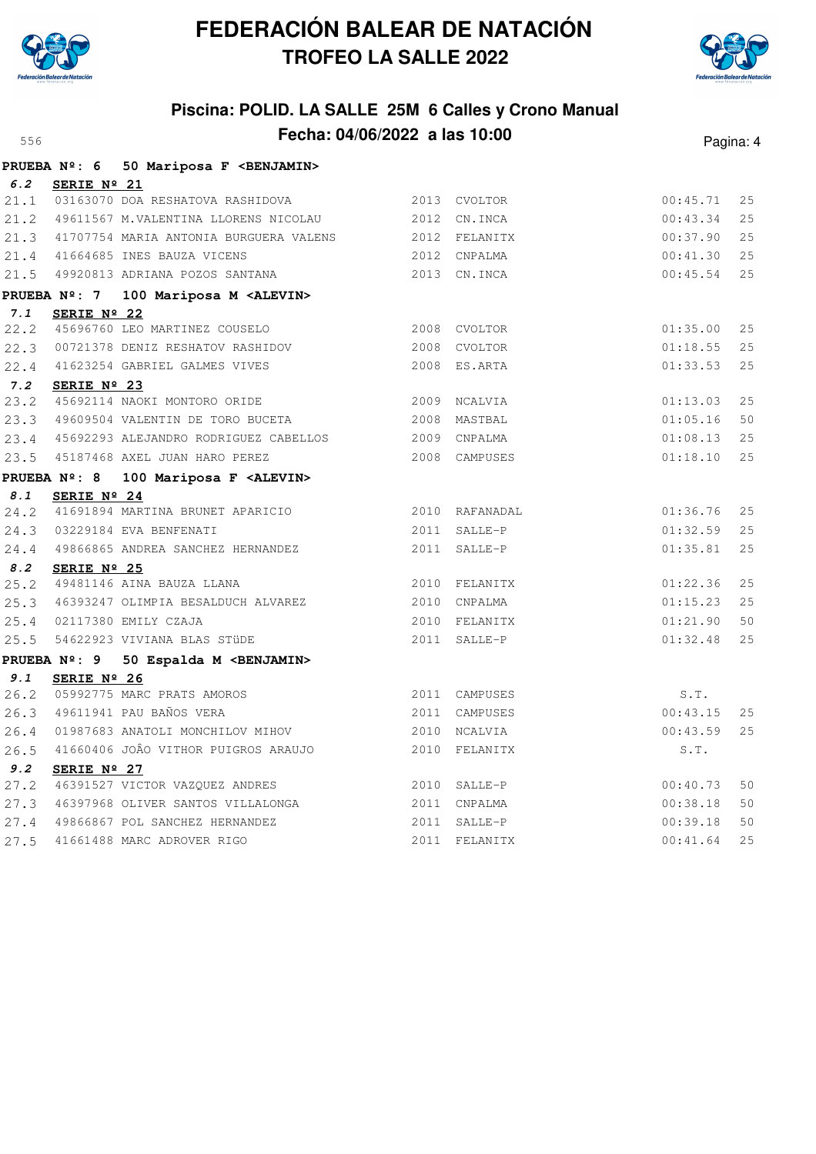



| ちちん         |                     |                                                  |                               |                      | Pagina: 4 |
|-------------|---------------------|--------------------------------------------------|-------------------------------|----------------------|-----------|
|             |                     | PRUEBA Nº: 6 50 Mariposa F <benjamin></benjamin> |                               |                      |           |
| 6.2         | SERIE Nº 21         |                                                  |                               |                      |           |
| 21.1        |                     | 03163070 DOA RESHATOVA RASHIDOVA                 | 2013 CVOLTOR                  | 00:45.71             | 25        |
| 21.2        |                     | 49611567 M.VALENTINA LLORENS NICOLAU             | 2012 CN.INCA                  | 00:43.34             | 25        |
| 21.3        |                     | 41707754 MARIA ANTONIA BURGUERA VALENS           | 2012 FELANITX                 | 00:37.90             | 25        |
| 21.4        |                     | 41664685 INES BAUZA VICENS                       | 2012 CNPALMA                  | 00:41.30             | 25        |
| 21.5        |                     | 49920813 ADRIANA POZOS SANTANA                   | 2013 CN.INCA                  | 00:45.54             | 25        |
|             | <b>PRUEBA Nº: 7</b> | 100 Mariposa M <alevin></alevin>                 |                               |                      |           |
| 7.1         | SERIE Nº 22         |                                                  |                               |                      |           |
| 22.2        |                     | 45696760 LEO MARTINEZ COUSELO                    | 2008 CVOLTOR                  | 01:35.00             | 25        |
| 22.3        |                     | 00721378 DENIZ RESHATOV RASHIDOV                 | 2008 CVOLTOR                  | 01:18.55             | 25        |
| 22.4        |                     | 41623254 GABRIEL GALMES VIVES                    | 2008 ES.ARTA                  | 01:33.53             | 2.5       |
| 7.2         | SERIE Nº 23         |                                                  |                               |                      |           |
| 23.2        |                     | 45692114 NAOKI MONTORO ORIDE                     | 2009 NCALVIA                  | 01:13.03             | 25        |
| 23.3        |                     | 49609504 VALENTIN DE TORO BUCETA                 | 2008 MASTBAL                  | 01:05.16             | 50        |
| 23.4        |                     | 45692293 ALEJANDRO RODRIGUEZ CABELLOS            | 2009 CNPALMA                  | 01:08.13             | 25        |
| 23.5        |                     | 45187468 AXEL JUAN HARO PEREZ                    | 2008 CAMPUSES                 | 01:18.10             | 25        |
|             | PRUEBA Nº: 8        | 100 Mariposa F <alevin></alevin>                 |                               |                      |           |
| 8.1         | SERIE Nº 24         |                                                  |                               |                      |           |
| 24.2        |                     | 41691894 MARTINA BRUNET APARICIO                 | 2010 RAFANADAL                | 01:36.76             | 25        |
| 24.3        |                     | 03229184 EVA BENFENATI                           | 2011 SALLE-P                  | 01:32.59             | 2.5       |
|             |                     | 24.4 49866865 ANDREA SANCHEZ HERNANDEZ           | 2011 SALLE-P                  | 01:35.81             | 25        |
| 8.2         | SERIE Nº 25         |                                                  |                               |                      |           |
| 25.2        |                     | 49481146 AINA BAUZA LLANA                        | 2010 FELANITX                 | 01:22.36             | 25<br>25  |
| 25.3        |                     | 46393247 OLIMPIA BESALDUCH ALVAREZ               | 2010 CNPALMA                  | 01:15.23             | 50        |
| 25.4        |                     | 02117380 EMILY CZAJA                             | 2010 FELANITX<br>2011 SALLE-P | 01:21.90<br>01:32.48 | 25        |
| 25.5        |                     | 54622923 VIVIANA BLAS STÜDE                      |                               |                      |           |
|             | <b>PRUEBA Nº: 9</b> | 50 Espalda M <benjamin></benjamin>               |                               |                      |           |
| 9.1<br>26.2 | SERIE Nº 26         | 05992775 MARC PRATS AMOROS                       | 2011 CAMPUSES                 | S.T.                 |           |
| 26.3        |                     | 49611941 PAU BAÑOS VERA                          | 2011 CAMPUSES                 | 00:43.15             | 25        |
| 26.4        |                     | 01987683 ANATOLI MONCHILOV MIHOV                 | 2010 NCALVIA                  | 00:43.59             | 25        |
| 26.5        |                     | 41660406 JOÂO VITHOR PUIGROS ARAUJO              | 2010 FELANITX                 | S.T.                 |           |
| 9.2         | SERIE Nº 27         |                                                  |                               |                      |           |
| 27.2        |                     | 46391527 VICTOR VAZQUEZ ANDRES                   | 2010 SALLE-P                  | 00:40.73             | 50        |
| 27.3        |                     | 46397968 OLIVER SANTOS VILLALONGA                | 2011 CNPALMA                  | 00:38.18             | 50        |
| 27.4        |                     | 49866867 POL SANCHEZ HERNANDEZ                   | 2011 SALLE-P                  | 00:39.18             | 50        |
| 27.5        |                     | 41661488 MARC ADROVER RIGO                       | 2011 FELANITX                 | 00:41.64             | 25        |
|             |                     |                                                  |                               |                      |           |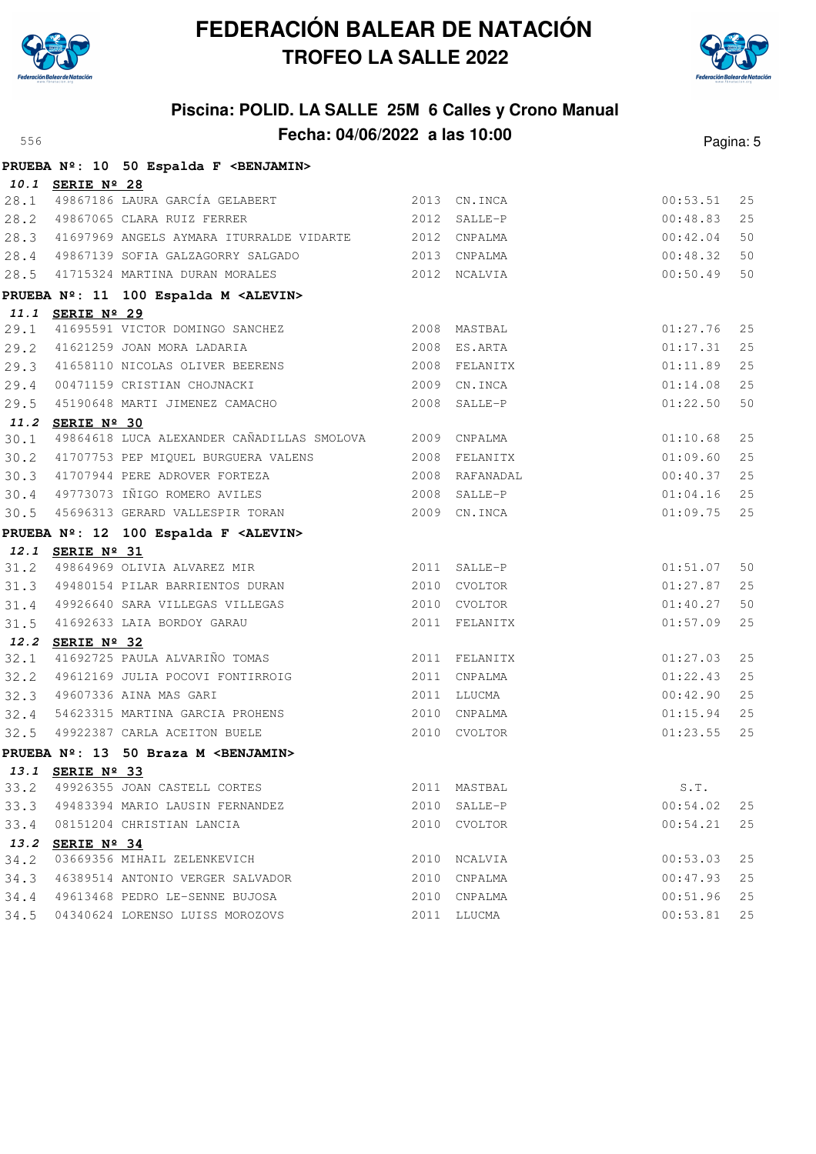



|      |                  | PRUEBA Nº: 10 50 Espalda F <benjamin></benjamin>           |               |          |    |
|------|------------------|------------------------------------------------------------|---------------|----------|----|
|      | 10.1 SERIE Nº 28 |                                                            |               |          |    |
|      |                  | 28.1 49867186 LAURA GARCÍA GELABERT 2013 CN.INCA           |               | 00:53.51 | 25 |
|      |                  | 28.2 49867065 CLARA RUIZ FERRER                            | 2012 SALLE-P  | 00:48.83 | 25 |
|      |                  | 28.3 41697969 ANGELS AYMARA ITURRALDE VIDARTE 2012 CNPALMA |               | 00:42.04 | 50 |
|      |                  | 28.4 49867139 SOFIA GALZAGORRY SALGADO 60 2013 CNPALMA     |               | 00:48.32 | 50 |
|      |                  | 28.5 41715324 MARTINA DURAN MORALES 2012 NCALVIA           |               | 00:50.49 | 50 |
|      |                  | PRUEBA Nº: 11 100 Espalda M <alevin></alevin>              |               |          |    |
|      | 11.1 SERIE Nº 29 |                                                            |               |          |    |
|      |                  | 29.1 41695591 VICTOR DOMINGO SANCHEZ 2008 MASTBAL          |               | 01:27.76 | 25 |
| 29.2 |                  | 2008 ES.ARTA<br>41621259 JOAN MORA LADARIA                 |               | 01:17.31 | 25 |
|      |                  | 29.3 41658110 NICOLAS OLIVER BEERENS                       | 2008 FELANITX | 01:11.89 | 25 |
|      |                  | 29.4 00471159 CRISTIAN CHOJNACKI 2009 CN.INCA              |               | 01:14.08 | 25 |
|      |                  | 29.5 45190648 MARTI JIMENEZ CAMACHO                        | 2008 SALLE-P  | 01:22.50 | 50 |
|      | 11.2 SERIE Nº 30 |                                                            |               |          |    |
| 30.1 |                  | 49864618 LUCA ALEXANDER CAÑADILLAS SMOLOVA 2009 CNPALMA    |               | 01:10.68 | 25 |
|      |                  | 30.2 41707753 PEP MIQUEL BURGUERA VALENS 2008 FELANITX     |               | 01:09.60 | 25 |
|      |                  |                                                            |               | 00:40.37 | 25 |
|      |                  |                                                            |               | 01:04.16 | 25 |
| 30.5 |                  | 45696313 GERARD VALLESPIR TORAN                            | 2009 CN.INCA  | 01:09.75 | 25 |
|      |                  | PRUEBA Nº: 12 100 Espalda F <alevin></alevin>              |               |          |    |
|      | 12.1 SERIE Nº 31 |                                                            |               |          |    |
|      |                  | 31.2 49864969 OLIVIA ALVAREZ MIR                           | 2011 SALLE-P  | 01:51.07 | 50 |
|      |                  | 31.3 49480154 PILAR BARRIENTOS DURAN 2010 CVOLTOR          |               | 01:27.87 | 25 |
|      |                  | 31.4 49926640 SARA VILLEGAS VILLEGAS                       | 2010 CVOLTOR  | 01:40.27 | 50 |
|      |                  | 31.5 41692633 LAIA BORDOY GARAU                            | 2011 FELANITX | 01:57.09 | 25 |
|      | 12.2 SERIE Nº 32 |                                                            |               |          |    |
| 32.1 |                  | 41692725 PAULA ALVARIÑO TOMAS                              | 2011 FELANITX | 01:27.03 | 25 |
| 32.2 |                  | 49612169 JULIA POCOVI FONTIRROIG                           | 2011 CNPALMA  | 01:22.43 | 25 |
|      |                  | 32.3 49607336 AINA MAS GARI                                | 2011 LLUCMA   | 00:42.90 | 25 |
| 32.4 |                  | 54623315 MARTINA GARCIA PROHENS                            | 2010 CNPALMA  | 01:15.94 | 25 |
|      |                  | 32.5 49922387 CARLA ACEITON BUELE                          | 2010 CVOLTOR  | 01:23.55 | 25 |
|      |                  | PRUEBA Nº: 13 50 Braza M <benjamin></benjamin>             |               |          |    |
|      |                  | 13.1 SERIE Nº 33                                           |               |          |    |
|      |                  | 33.2 49926355 JOAN CASTELL CORTES                          | 2011 MASTBAL  | S.T.     |    |
|      |                  | 33.3 49483394 MARIO LAUSIN FERNANDEZ                       | 2010 SALLE-P  | 00:54.02 | 25 |
| 33.4 |                  | 08151204 CHRISTIAN LANCIA                                  | 2010 CVOLTOR  | 00:54.21 | 25 |
|      | 13.2 SERIE Nº 34 |                                                            |               |          |    |
| 34.2 |                  | 03669356 MIHAIL ZELENKEVICH                                | 2010 NCALVIA  | 00:53.03 | 25 |
| 34.3 |                  | 46389514 ANTONIO VERGER SALVADOR                           | 2010 CNPALMA  | 00:47.93 | 25 |
| 34.4 |                  | 49613468 PEDRO LE-SENNE BUJOSA                             | 2010 CNPALMA  | 00:51.96 | 25 |
| 34.5 |                  | 04340624 LORENSO LUISS MOROZOVS                            | 2011 LLUCMA   | 00:53.81 | 25 |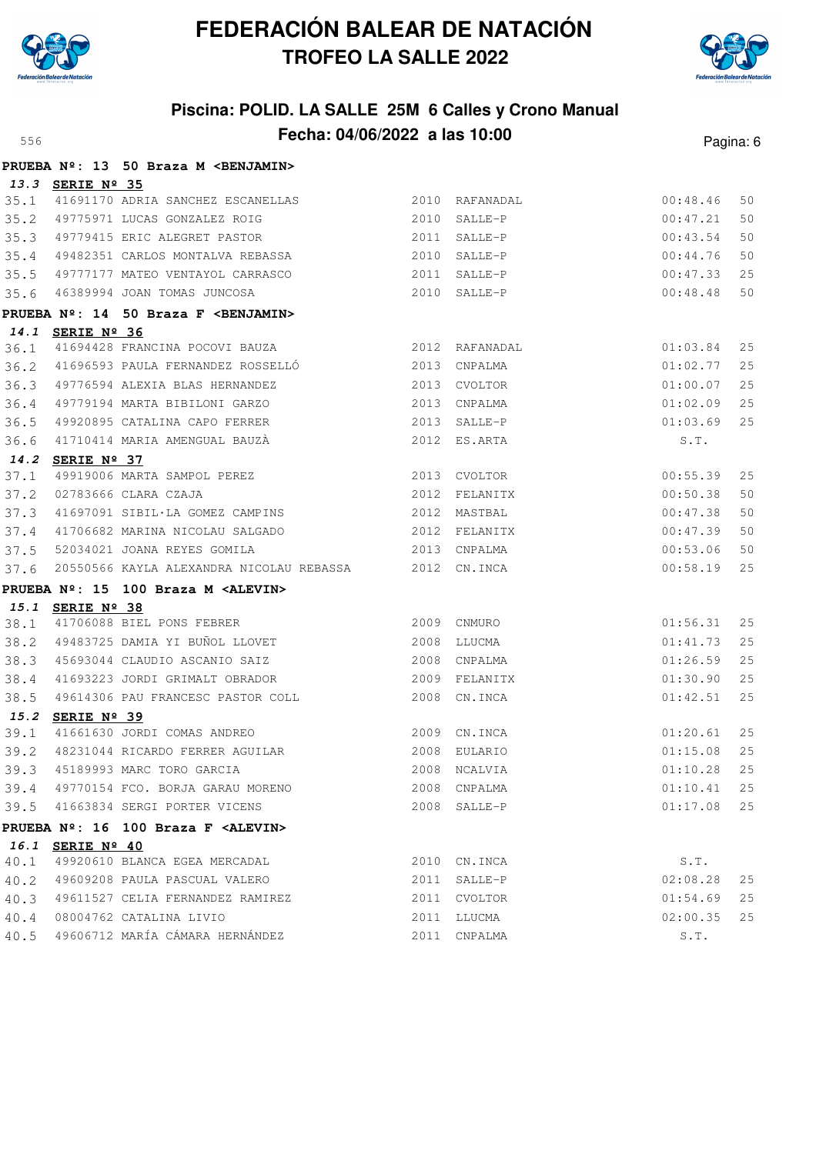



|              |                      | PRUEBA Nº: 13 50 Braza M <benjamin></benjamin>                                 |                              |          |    |
|--------------|----------------------|--------------------------------------------------------------------------------|------------------------------|----------|----|
|              | 13.3 SERIE Nº 35     |                                                                                |                              |          |    |
| 35.1         |                      | 41691170 ADRIA SANCHEZ ESCANELLAS                                              | 2010 RAFANADAL               | 00:48.46 | 50 |
| 35.2         |                      | $2010$ SALLE-P<br>49775971 LUCAS GONZALEZ ROIG                                 |                              | 00:47.21 | 50 |
| 35.3         |                      | 49779415 ERIC ALEGRET PASTOR<br>40400054 CIFEIR                                | 2011 SALLE-P                 | 00:43.54 | 50 |
| 35.4         |                      | 49482351 CARLOS MONTALVA REBASSA 2010 SALLE-P                                  |                              | 00:44.76 | 50 |
| 35.5         |                      | 49777177 MATEO VENTAYOL CARRASCO 49777177 MATEO VENTAYOL CARRASCO 2011 SALLE-P |                              | 00:47.33 | 25 |
| 35.6         |                      | 46389994 JOAN TOMAS JUNCOSA                                                    | 2010 SALLE-P                 | 00:48.48 | 50 |
|              |                      | PRUEBA Nº: 14 50 Braza F <benjamin></benjamin>                                 |                              |          |    |
|              | 14.1 SERIE Nº 36     |                                                                                |                              |          |    |
| 36.1         |                      | 2012 RAFANADAL<br>41694428 FRANCINA POCOVI BAUZA                               |                              | 01:03.84 | 25 |
| 36.2         |                      | 41696593 PAULA FERNANDEZ ROSSELLÓ 2013 CNPALMA                                 |                              | 01:02.77 | 25 |
| 36.3         |                      | 49776594 ALEXIA BLAS HERNANDEZ                                                 | 2013 CVOLTOR                 | 01:00.07 | 25 |
| 36.4         |                      | 49779194 MARTA BIBILONI GARZO                                                  | 2013 CNPALMA                 | 01:02.09 | 25 |
| 36.5         |                      | 49920895 CATALINA CAPO FERRER<br>2013 SALLE-P                                  |                              | 01:03.69 | 25 |
| 36.6         |                      | 41710414 MARIA AMENGUAL BAUZÀ                                                  | 2012 ES.ARTA                 | S.T.     |    |
|              | 14.2 SERIE Nº 37     |                                                                                |                              |          |    |
| 37.1         |                      | 49919006 MARTA SAMPOL PEREZ                                                    | 2013 CVOLTOR                 | 00:55.39 | 25 |
| 37.2         |                      | 02783666 CLARA CZAJA                                                           | 2012 FELANITX                | 00:50.38 | 50 |
| 37.3         |                      | 41697091 SIBIL·LA GOMEZ CAMPINS 2012 MASTBAL                                   |                              | 00:47.38 | 50 |
| 37.4         |                      |                                                                                |                              | 00:47.39 | 50 |
| 37.5         |                      | 52034021 JOANA REYES GOMILA                                                    | 2013 CNPALMA                 | 00:53.06 | 50 |
| 37.6         |                      | 20550566 KAYLA ALEXANDRA NICOLAU REBASSA 2012 CN.INCA                          |                              | 00:58.19 | 25 |
|              |                      | PRUEBA Nº: 15 100 Braza M <alevin></alevin>                                    |                              |          |    |
|              | 15.1 SERIE Nº 38     | 2009 CNMURO                                                                    |                              |          |    |
| 38.1         |                      | 41706088 BIEL PONS FEBRER                                                      |                              | 01:56.31 | 25 |
| 38.2         |                      | 49483725 DAMIA YI BUÑOL LLOVET 2008 LLUCMA                                     |                              | 01:41.73 | 25 |
| 38.3         |                      | 45693044 CLAUDIO ASCANIO SAIZ                                                  | 2008 CNPALMA                 | 01:26.59 | 25 |
| 38.4         |                      |                                                                                |                              | 01:30.90 | 25 |
| 38.5         |                      | 49614306 PAU FRANCESC PASTOR COLL                                              | 2008 CN. INCA                | 01:42.51 | 25 |
| 15.2<br>39.1 | SERIE $N^{\circ}$ 39 | 41661630 JORDI COMAS ANDREO                                                    | 2009 CN.INCA                 | 01:20.61 | 25 |
| 39.2         |                      |                                                                                |                              | 01:15.08 | 25 |
|              |                      | 39.3 45189993 MARC TORO GARCIA 6 2008 NOALVIA 2008 NOALVIA 25                  |                              |          |    |
|              |                      | 39.4 49770154 FCO. BORJA GARAU MORENO                                          |                              |          | 25 |
|              |                      | 41663834 SERGI PORTER VICENS                                                   | 2008 CNPALMA<br>2008 SALLE-P | 01:10.41 | 25 |
| 39.5         |                      |                                                                                |                              | 01:17.08 |    |
|              |                      | PRUEBA Nº: 16 100 Braza F <alevin></alevin>                                    |                              |          |    |
| 40.1         | 16.1 SERIE Nº 40     | 49920610 BLANCA EGEA MERCADAL                                                  | 2010 CN.INCA                 | S.T.     |    |
| 40.2         |                      | 49609208 PAULA PASCUAL VALERO                                                  | 2011 SALLE-P                 | 02:08.28 | 25 |
| 40.3         |                      | 49611527 CELIA FERNANDEZ RAMIREZ                                               | 2011 CVOLTOR                 | 01:54.69 | 25 |
| 40.4         |                      | 08004762 CATALINA LIVIO                                                        | 2011 LLUCMA                  | 02:00.35 | 25 |
| 40.5         |                      | 49606712 MARÍA CÁMARA HERNÁNDEZ                                                | 2011 CNPALMA                 | S.T.     |    |
|              |                      |                                                                                |                              |          |    |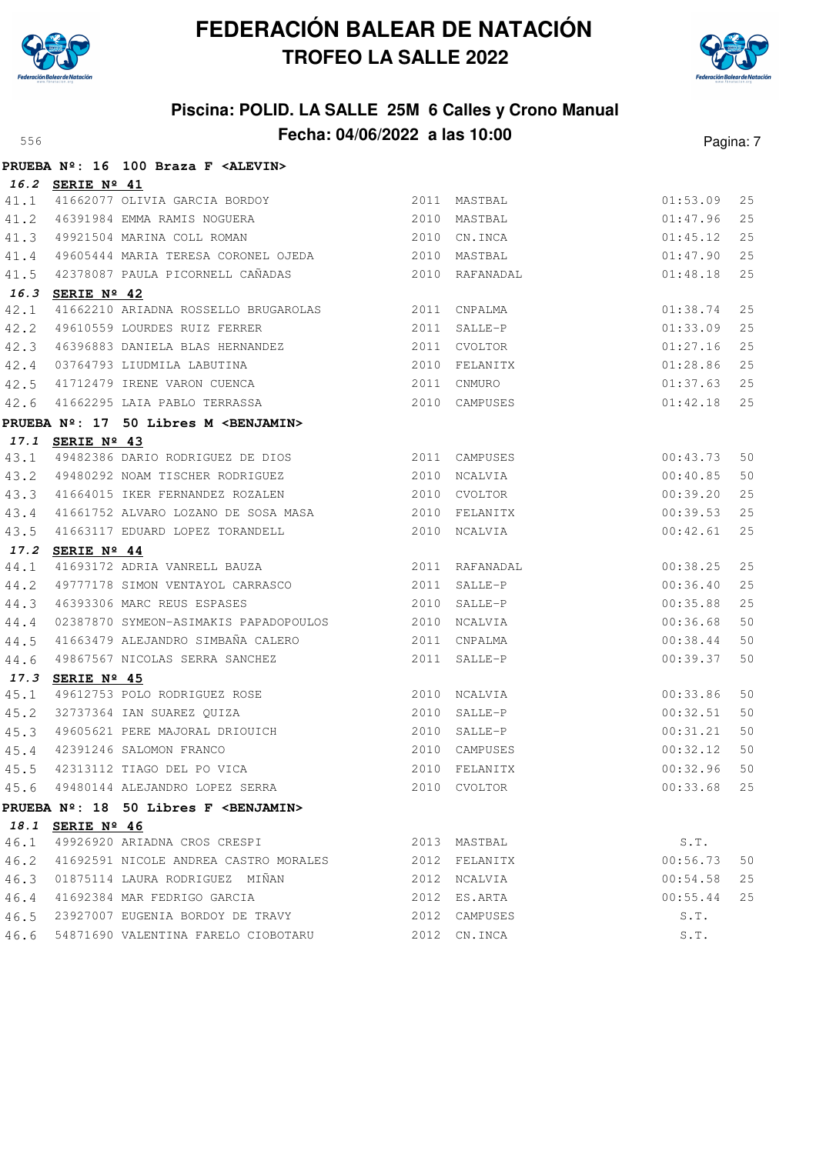



|      |                  | PRUEBA Nº: 16 100 Braza F <alevin></alevin>                                                                                                        |                |               |          |    |
|------|------------------|----------------------------------------------------------------------------------------------------------------------------------------------------|----------------|---------------|----------|----|
|      | 16.2 SERIE Nº 41 |                                                                                                                                                    |                |               |          |    |
| 41.1 |                  | 41662077 OLIVIA GARCIA BORDOY                                                                                                                      |                | 2011 MASTBAL  | 01:53.09 | 25 |
| 41.2 |                  | 46391984 EMMA RAMIS NOGUERA 2010 MASTBAL                                                                                                           |                |               | 01:47.96 | 25 |
| 41.3 |                  | 49921504 MARINA COLL ROMAN                                                                                                                         | 2010 CN.INCA   |               | 01:45.12 | 25 |
|      |                  | 41.4 49605444 MARIA TERESA CORONEL OJEDA 62010 MASTBAL                                                                                             |                |               | 01:47.90 | 25 |
| 41.5 |                  |                                                                                                                                                    |                |               | 01:48.18 | 25 |
| 16.3 | SERIE Nº 42      |                                                                                                                                                    |                |               |          |    |
| 42.1 |                  | 41662210 ARIADNA ROSSELLO BRUGAROLAS 2011 CNPALMA                                                                                                  |                |               | 01:38.74 | 25 |
| 42.2 |                  | 49610559 LOURDES RUIZ FERRER 2011 SALLE-P                                                                                                          |                |               | 01:33.09 | 25 |
| 42.3 |                  |                                                                                                                                                    |                |               | 01:27.16 | 25 |
| 42.4 |                  | 46396883 DANIELA BLAS HERNANDEZ (2011 CVOLTOR<br>13764793 LIUDMILA LABUTINA (2010 FELANITX (2010 1912)<br>11712479 IRENE VARON CUENCA (2011 CNMURO |                |               | 01:28.86 | 25 |
| 42.5 |                  |                                                                                                                                                    |                |               | 01:37.63 | 25 |
| 42.6 |                  | 41662295 LAIA PABLO TERRASSA 2010 CAMPUSES                                                                                                         |                |               | 01:42.18 | 25 |
|      |                  | PRUEBA Nº: 17 50 Libres M <benjamin></benjamin>                                                                                                    |                |               |          |    |
|      | 17.1 SERIE Nº 43 |                                                                                                                                                    |                |               |          |    |
| 43.1 |                  | 49482386 DARIO RODRIGUEZ DE DIOS 2011 CAMPUSES                                                                                                     |                |               | 00:43.73 | 50 |
|      |                  | 43.2 49480292 NOAM TISCHER RODRIGUEZ 2010 NCALVIA                                                                                                  |                |               | 00:40.85 | 50 |
| 43.3 |                  | 41664015 IKER FERNANDEZ ROZALEN                                                                                                                    |                | 2010 CVOLTOR  | 00:39.20 | 25 |
| 43.4 |                  | 41661752 ALVARO LOZANO DE SOSA MASA $2010$ FELANITX                                                                                                |                |               | 00:39.53 | 25 |
| 43.5 |                  | 41663117 EDUARD LOPEZ TORANDELL 2010 NCALVIA                                                                                                       |                |               | 00:42.61 | 25 |
| 17.2 | SERIE Nº 44      |                                                                                                                                                    |                |               |          |    |
| 44.1 |                  |                                                                                                                                                    |                |               | 00:38.25 | 25 |
| 44.2 |                  | 49777178 SIMON VENTAYOL CARRASCO                                                                                                                   |                | 2011 SALLE-P  | 00:36.40 | 25 |
| 44.3 |                  | 46393306 MARC REUS ESPASES                                                                                                                         |                | 2010 SALLE-P  | 00:35.88 | 25 |
| 44.4 |                  | 02387870 SYMEON-ASIMAKIS PAPADOPOULOS 2010 NCALVIA                                                                                                 |                |               | 00:36.68 | 50 |
| 44.5 |                  | 41663479 ALEJANDRO SIMBAÑA CALERO 2011 CNPALMA                                                                                                     |                |               | 00:38.44 | 50 |
| 44.6 |                  | 49867567 NICOLAS SERRA SANCHEZ                                                                                                                     |                | 2011 SALLE-P  | 00:39.37 | 50 |
| 17.3 | SERIE Nº 45      |                                                                                                                                                    |                |               |          |    |
| 45.1 |                  | 49612753 POLO RODRIGUEZ ROSE 2010 NCALVIA                                                                                                          |                |               | 00:33.86 | 50 |
| 45.2 |                  | 32737364 IAN SUAREZ QUIZA<br>49605621 PERE MAJORAL DRIOUICH 2010 SALLE-P                                                                           | $2010$ SALLE-P |               | 00:32.51 | 50 |
| 45.3 |                  |                                                                                                                                                    |                |               | 00:31.21 | 50 |
| 45.4 |                  | 42391246 SALOMON FRANCO                                                                                                                            |                | 2010 CAMPUSES | 00:32.12 | 50 |
| 45.5 |                  | 42313112 TIAGO DEL PO VICA                                                                                                                         |                | 2010 FELANITX | 00:32.96 | 50 |
|      |                  | 45.6 49480144 ALEJANDRO LOPEZ SERRA                                                                                                                |                | 2010 CVOLTOR  | 00:33.68 | 25 |
|      |                  | PRUEBA Nº: 18 50 Libres F <benjamin></benjamin>                                                                                                    |                |               |          |    |
|      | 18.1 SERIE Nº 46 |                                                                                                                                                    |                |               |          |    |
| 46.1 |                  | 49926920 ARIADNA CROS CRESPI                                                                                                                       |                | 2013 MASTBAL  | S.T.     |    |
| 46.2 |                  | 41692591 NICOLE ANDREA CASTRO MORALES                                                                                                              |                | 2012 FELANITX | 00:56.73 | 50 |
| 46.3 |                  | 01875114 LAURA RODRIGUEZ MIÑAN                                                                                                                     |                | 2012 NCALVIA  | 00:54.58 | 25 |
| 46.4 |                  | 41692384 MAR FEDRIGO GARCIA                                                                                                                        |                | 2012 ES.ARTA  | 00:55.44 | 25 |
| 46.5 |                  | 23927007 EUGENIA BORDOY DE TRAVY                                                                                                                   |                | 2012 CAMPUSES | S.T.     |    |
| 46.6 |                  | 54871690 VALENTINA FARELO CIOBOTARU                                                                                                                |                | 2012 CN.INCA  | S.T.     |    |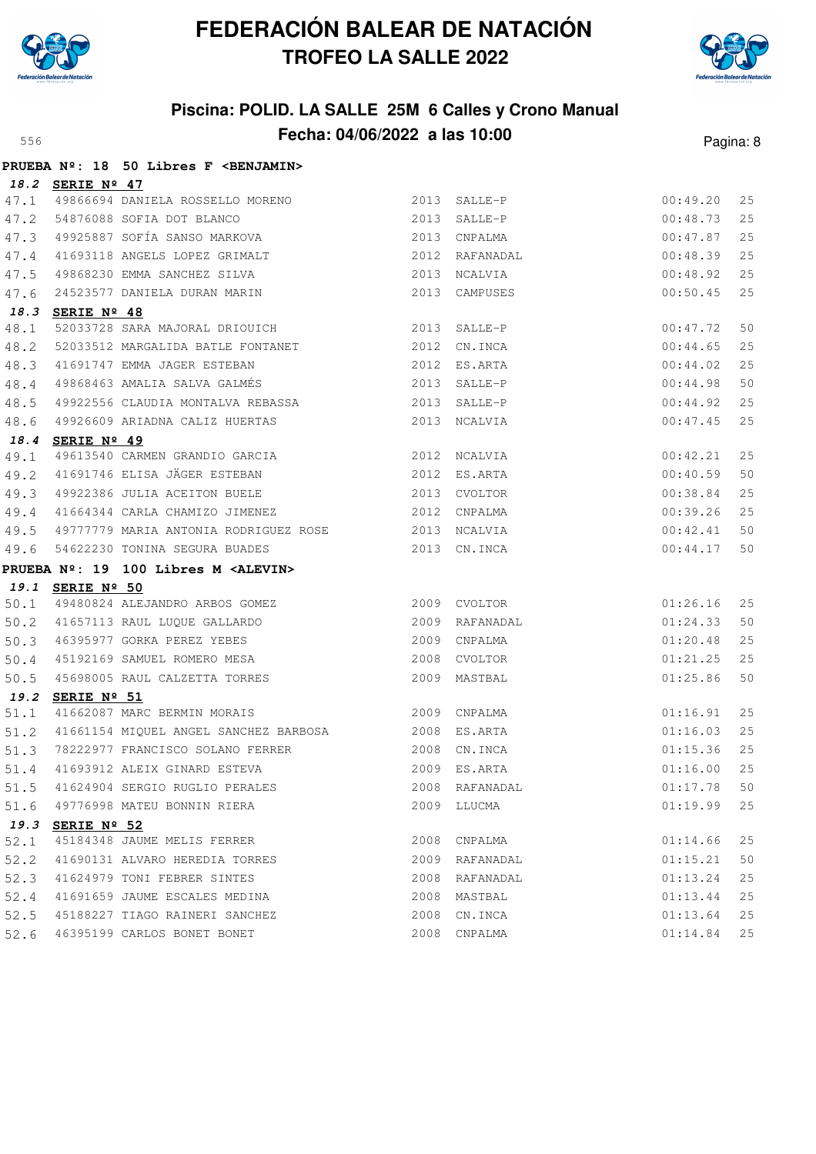



|      |                  | PRUEBA Nº: 18 50 Libres F <benjamin></benjamin>           |                |                |             |    |
|------|------------------|-----------------------------------------------------------|----------------|----------------|-------------|----|
|      | 18.2 SERIE Nº 47 |                                                           |                |                |             |    |
| 47.1 |                  | 49866694 DANIELA ROSSELLO MORENO                          |                | 2013 SALLE-P   | 00:49.20    | 25 |
| 47.2 |                  | 54876088 SOFIA DOT BLANCO                                 | 2013 SALLE-P   |                | 00:48.73    | 25 |
| 47.3 |                  | 49925887 SOFÍA SANSO MARKOVA                              |                | 2013 CNPALMA   | 00:47.87    | 25 |
| 47.4 |                  | 41693118 ANGELS LOPEZ GRIMALT                             |                | 2012 RAFANADAL | 00:48.39    | 25 |
| 47.5 |                  | 49868230 EMMA SANCHEZ SILVA                               | 2013 NCALVIA   |                | 00:48.92    | 25 |
| 47.6 |                  | 24523577 DANIELA DURAN MARIN                              |                | 2013 CAMPUSES  | 00:50.45    | 25 |
|      | 18.3 SERIE Nº 48 |                                                           |                |                |             |    |
| 48.1 |                  | 52033728 SARA MAJORAL DRIOUICH 2013 SALLE-P               |                |                | 00:47.72    | 50 |
| 48.2 |                  | 52033512 MARGALIDA BATLE FONTANET                         |                | 2012 CN. INCA  | 00:44.65    | 25 |
| 48.3 |                  | 41691747 EMMA JAGER ESTEBAN                               | 2012 ES.ARTA   |                | 00:44.02    | 25 |
| 48.4 |                  | 49868463 AMALIA SALVA GALMÉS (2013 SALLE-P                |                |                | 00:44.98    | 50 |
| 48.5 |                  | 49922556 CLAUDIA MONTALVA REBASSA                         |                | 2013 SALLE-P   | 00:44.92    | 25 |
| 48.6 |                  | 49926609 ARIADNA CALIZ HUERTAS                            |                | 2013 NCALVIA   | 00:47.45    | 25 |
| 18.4 | SERIE Nº 49      |                                                           |                |                |             |    |
| 49.1 |                  | 49613540 CARMEN GRANDIO GARCIA 2012 NCALVIA               |                |                | 00:42.21    | 25 |
| 49.2 |                  | 41691746 ELISA JÄGER ESTEBAN 678 2012 ES.ARTA             |                |                | 00:40.59    | 50 |
| 49.3 |                  | 49922386 JULIA ACEITON BUELE                              |                | 2013 CVOLTOR   | 00:38.84    | 25 |
| 49.4 |                  | 41664344 CARLA CHAMIZO JIMENEZ 2012 CNPALMA               |                |                | 00:39.26    | 25 |
| 49.5 |                  | 49777779 MARIA ANTONIA RODRIGUEZ ROSE 2013 NCALVIA        |                |                | 00:42.41    | 50 |
| 49.6 |                  | 54622230 TONINA SEGURA BUADES                             |                | 2013 CN.INCA   | 00:44.17    | 50 |
|      |                  | PRUEBA Nº: 19 100 Libres M <alevin></alevin>              |                |                |             |    |
|      | 19.1 SERIE Nº 50 |                                                           |                |                |             |    |
| 50.1 |                  | 49480824 ALEJANDRO ARBOS GOMEZ                            |                | 2009 CVOLTOR   | 01:26.16    | 25 |
| 50.2 |                  | 41657113 RAUL LUQUE GALLARDO                              | 2009 RAFANADAL |                | 01:24.33    | 50 |
| 50.3 |                  | 46395977 GORKA PEREZ YEBES<br>45192169 SAMUEL ROMERO MESA |                | 2009 CNPALMA   | 01:20.48    | 25 |
| 50.4 |                  |                                                           |                | 2008 CVOLTOR   | 01:21.25    | 25 |
| 50.5 |                  | 45698005 RAUL CALZETTA TORRES                             |                | 2009 MASTBAL   | 01:25.86    | 50 |
| 19.2 | SERIE Nº 51      |                                                           |                |                |             |    |
| 51.1 |                  | 41662087 MARC BERMIN MORAIS 2009 CNPALMA                  |                |                | 01:16.91    | 25 |
| 51.2 |                  | 41661154 MIQUEL ANGEL SANCHEZ BARBOSA 62008 ES.ARTA       |                |                | 01:16.03    | 25 |
| 51.3 |                  | 78222977 FRANCISCO SOLANO FERRER 2008 CN.INCA             |                |                | 01:15.36    | 25 |
| 51.4 |                  |                                                           |                |                | 01:16.00 25 |    |
| 51.5 |                  | 41624904 SERGIO RUGLIO PERALES                            |                | 2008 RAFANADAL | 01:17.78    | 50 |
| 51.6 |                  | 49776998 MATEU BONNIN RIERA                               |                | 2009 LLUCMA    | 01:19.99    | 25 |
| 19.3 | SERIE Nº 52      |                                                           |                |                |             |    |
| 52.1 |                  | 45184348 JAUME MELIS FERRER                               |                | 2008 CNPALMA   | 01:14.66    | 25 |
| 52.2 |                  | 41690131 ALVARO HEREDIA TORRES                            |                | 2009 RAFANADAL | 01:15.21    | 50 |
| 52.3 |                  | 41624979 TONI FEBRER SINTES                               |                | 2008 RAFANADAL | 01:13.24    | 25 |
| 52.4 |                  | 41691659 JAUME ESCALES MEDINA                             |                | 2008 MASTBAL   | 01:13.44    | 25 |
| 52.5 |                  | 45188227 TIAGO RAINERI SANCHEZ                            |                | 2008 CN.INCA   | 01:13.64    | 25 |
| 52.6 |                  | 46395199 CARLOS BONET BONET                               |                | 2008 CNPALMA   | 01:14.84    | 25 |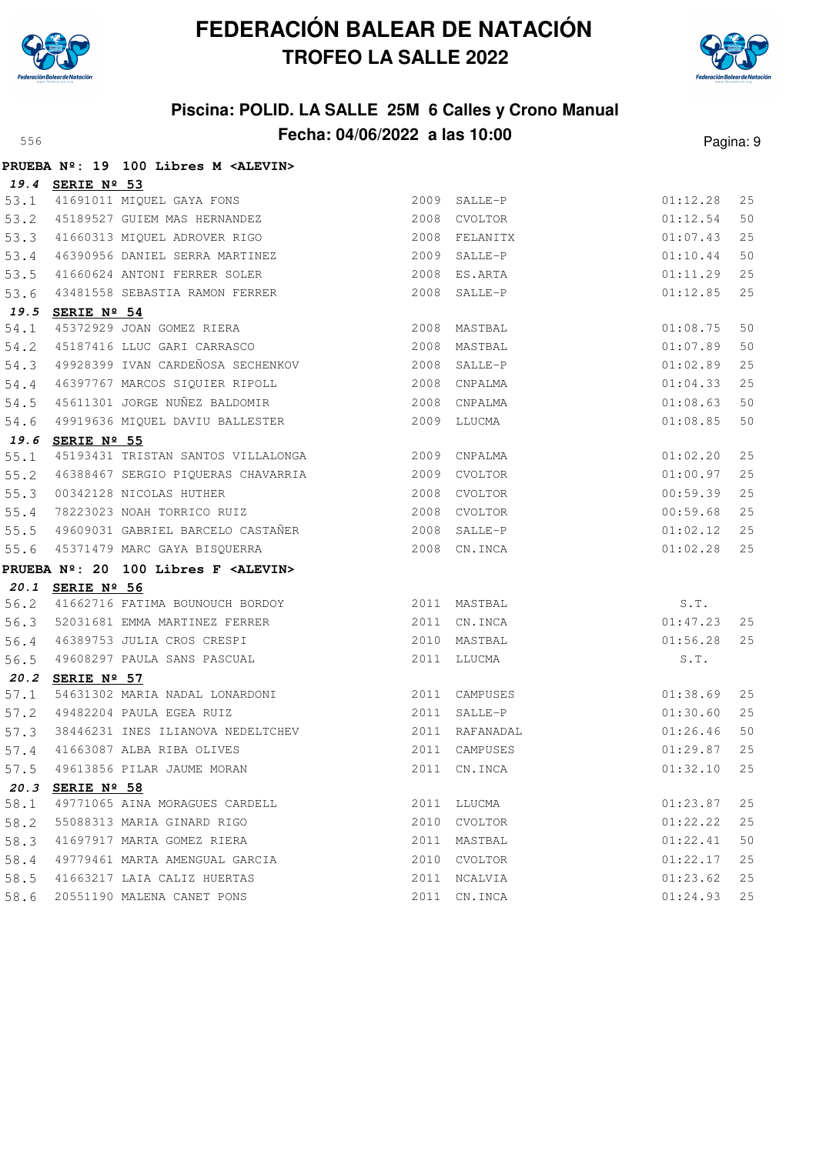



|      |                  |                                                  |              |                | ı ayına. |    |
|------|------------------|--------------------------------------------------|--------------|----------------|----------|----|
|      |                  | PRUEBA Nº: 19 100 Libres M <alevin></alevin>     |              |                |          |    |
|      | 19.4 SERIE Nº 53 |                                                  |              |                |          |    |
|      |                  | 53.1 41691011 MIQUEL GAYA FONS                   |              | 2009 SALLE-P   | 01:12.28 | 25 |
|      |                  | 53.2 45189527 GUIEM MAS HERNANDEZ                |              | 2008 CVOLTOR   | 01:12.54 | 50 |
|      |                  | 53.3 41660313 MIQUEL ADROVER RIGO                |              | 2008 FELANITX  | 01:07.43 | 25 |
|      |                  | 53.4 46390956 DANIEL SERRA MARTINEZ              | 2009         | SALLE-P        | 01:10.44 | 50 |
| 53.5 |                  | 41660624 ANTONI FERRER SOLER                     |              | 2008 ES.ARTA   | 01:11.29 | 25 |
| 53.6 |                  | 43481558 SEBASTIA RAMON FERRER                   |              | 2008 SALLE-P   | 01:12.85 | 25 |
|      | 19.5 SERIE Nº 54 |                                                  |              |                |          |    |
| 54.1 |                  | 45372929 JOAN GOMEZ RIERA                        | 2008 MASTBAL |                | 01:08.75 | 50 |
|      |                  | 54.2 45187416 LLUC GARI CARRASCO                 | 2008 MASTBAL |                | 01:07.89 | 50 |
|      |                  | 54.3 49928399 IVAN CARDEÑOSA SECHENKOV           |              | 2008 SALLE-P   | 01:02.89 | 25 |
|      |                  | 54.4 46397767 MARCOS SIQUIER RIPOLL 2008 CNPALMA |              |                | 01:04.33 | 25 |
| 54.5 |                  |                                                  |              |                | 01:08.63 | 50 |
| 54.6 |                  | 49919636 MIQUEL DAVIU BALLESTER 2009 LLUCMA      |              |                | 01:08.85 | 50 |
|      | 19.6 SERIE Nº 55 |                                                  |              |                |          |    |
| 55.1 |                  | 45193431 TRISTAN SANTOS VILLALONGA               | 2009 CNPALMA |                | 01:02.20 | 25 |
| 55.2 |                  |                                                  |              |                | 01:00.97 | 25 |
| 55.3 |                  | 00342128 NICOLAS HUTHER                          | 2008 CVOLTOR |                | 00:59.39 | 25 |
| 55.4 |                  | 78223023 NOAH TORRICO RUIZ                       | 2008 CVOLTOR |                | 00:59.68 | 25 |
| 55.5 |                  | 49609031 GABRIEL BARCELO CASTAÑER                |              | 2008 SALLE-P   | 01:02.12 | 25 |
| 55.6 |                  | 45371479 MARC GAYA BISQUERRA                     | 2008 CN.INCA |                | 01:02.28 | 25 |
|      |                  | PRUEBA Nº: 20 100 Libres F <alevin></alevin>     |              |                |          |    |
|      | 20.1 SERIE Nº 56 |                                                  |              |                |          |    |
|      |                  | 56.2 41662716 FATIMA BOUNOUCH BORDOY             |              | 2011 MASTBAL   | S.T.     |    |
|      |                  | 56.3 52031681 EMMA MARTINEZ FERRER               |              | 2011 CN.INCA   | 01:47.23 | 25 |
| 56.4 |                  | 46389753 JULIA CROS CRESPI                       |              | 2010 MASTBAL   | 01:56.28 | 25 |
| 56.5 |                  | 49608297 PAULA SANS PASCUAL                      |              | 2011 LLUCMA    | S.T.     |    |
|      | 20.2 SERIE Nº 57 |                                                  |              |                |          |    |
| 57.1 |                  | 54631302 MARIA NADAL LONARDONI                   |              | 2011 CAMPUSES  | 01:38.69 | 25 |
| 57.2 |                  | 49482204 PAULA EGEA RUIZ                         |              | 2011 SALLE-P   | 01:30.60 | 25 |
|      |                  | 57.3 38446231 INES ILIANOVA NEDELTCHEV           |              | 2011 RAFANADAL | 01:26.46 | 50 |
|      |                  | 57.4 41663087 ALBA RIBA OLIVES                   |              | 2011 CAMPUSES  | 01:29.87 | 25 |
| 57.5 |                  | 49613856 PILAR JAUME MORAN                       |              | 2011 CN. INCA  | 01:32.10 | 25 |
| 20.3 | SERIE Nº 58      |                                                  |              |                |          |    |
| 58.1 |                  | 49771065 AINA MORAGUES CARDELL                   | 2011         | LLUCMA         | 01:23.87 | 25 |
| 58.2 |                  | 55088313 MARIA GINARD RIGO                       | 2010         | CVOLTOR        | 01:22.22 | 25 |
| 58.3 |                  | 41697917 MARTA GOMEZ RIERA                       | 2011         | MASTBAL        | 01:22.41 | 50 |
| 58.4 |                  | 49779461 MARTA AMENGUAL GARCIA                   | 2010         | CVOLTOR        | 01:22.17 | 25 |
| 58.5 |                  | 41663217 LAIA CALIZ HUERTAS                      | 2011         | NCALVIA        | 01:23.62 | 25 |
| 58.6 |                  | 20551190 MALENA CANET PONS                       | 2011         | CN.INCA        | 01:24.93 | 25 |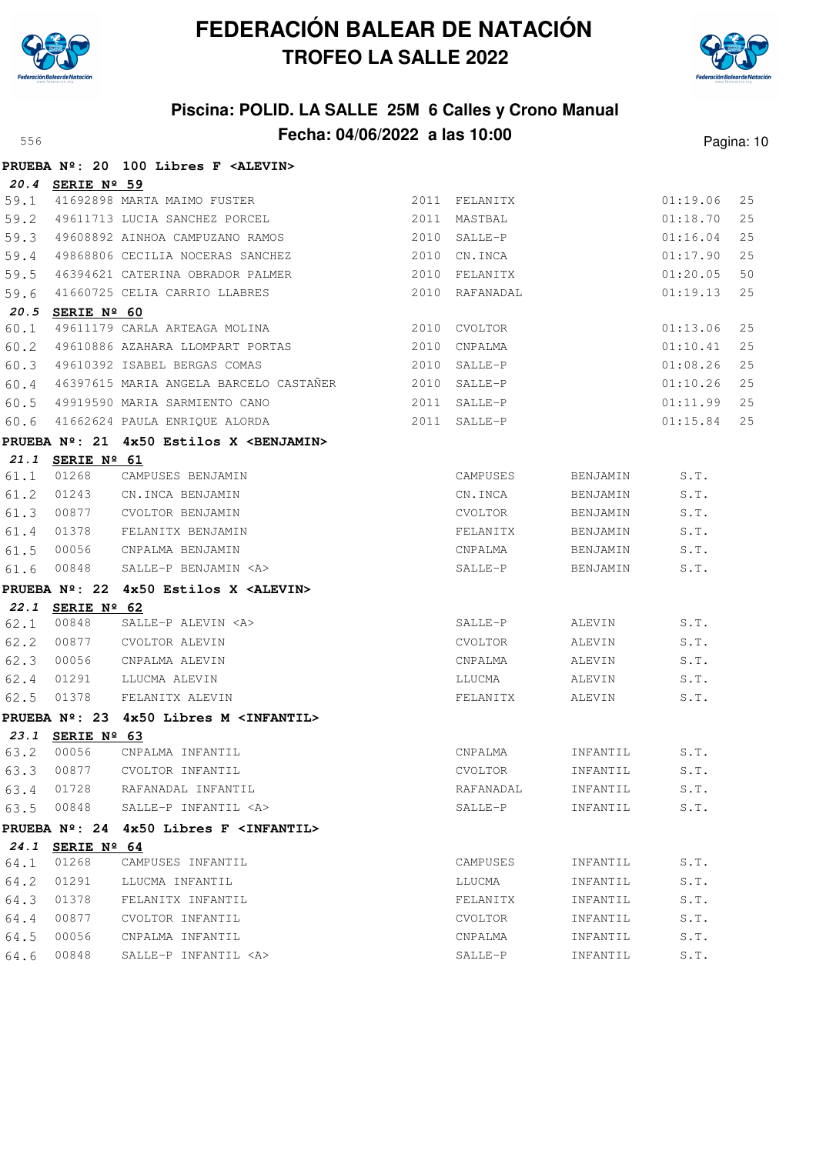



|      |                  | PRUEBA Nº: 20 100 Libres F <alevin></alevin>             |      |               |          |          |    |
|------|------------------|----------------------------------------------------------|------|---------------|----------|----------|----|
|      | 20.4 SERIE Nº 59 |                                                          |      |               |          |          |    |
| 59.1 |                  | 41692898 MARTA MAIMO FUSTER                              |      | 2011 FELANITX |          | 01:19.06 | 25 |
| 59.2 |                  | 49611713 LUCIA SANCHEZ PORCEL                            | 2011 | MASTBAL       |          | 01:18.70 | 25 |
| 59.3 |                  | 49608892 AINHOA CAMPUZANO RAMOS                          | 2010 | SALLE-P       |          | 01:16.04 | 25 |
| 59.4 |                  | 49868806 CECILIA NOCERAS SANCHEZ                         |      | 2010 CN.INCA  |          | 01:17.90 | 25 |
| 59.5 |                  | 46394621 CATERINA OBRADOR PALMER                         | 2010 | FELANITX      |          | 01:20.05 | 50 |
| 59.6 |                  | 41660725 CELIA CARRIO LLABRES                            | 2010 | RAFANADAL     |          | 01:19.13 | 25 |
| 60.1 | 20.5 SERIE Nº 60 | 49611179 CARLA ARTEAGA MOLINA                            |      | 2010 CVOLTOR  |          | 01:13.06 | 25 |
| 60.2 |                  | 49610886 AZAHARA LLOMPART PORTAS                         | 2010 | CNPALMA       |          | 01:10.41 | 25 |
| 60.3 |                  | 49610392 ISABEL BERGAS COMAS                             | 2010 | SALLE-P       |          | 01:08.26 | 25 |
| 60.4 |                  | 46397615 MARIA ANGELA BARCELO CASTANER                   | 2010 | SALLE-P       |          | 01:10.26 | 25 |
| 60.5 |                  | 49919590 MARIA SARMIENTO CANO                            | 2011 | SALLE-P       |          | 01:11.99 | 25 |
| 60.6 |                  | 41662624 PAULA ENRIOUE ALORDA                            |      | 2011 SALLE-P  |          | 01:15.84 | 25 |
|      |                  |                                                          |      |               |          |          |    |
|      | 21.1 SERIE Nº 61 | PRUEBA $N^2$ : 21 $4x50$ Estilos X <benjamin></benjamin> |      |               |          |          |    |
| 61.1 | 01268            | CAMPUSES BENJAMIN                                        |      | CAMPUSES      | BENJAMIN | S.T.     |    |
| 61.2 | 01243            | CN.INCA BENJAMIN                                         |      | CN.INCA       | BENJAMIN | S.T.     |    |
| 61.3 | 00877            | CVOLTOR BENJAMIN                                         |      | CVOLTOR       | BENJAMIN | S.T.     |    |
| 61.4 | 01378            | FELANITX BENJAMIN                                        |      | FELANITX      | BENJAMIN | S.T.     |    |
| 61.5 | 00056            | CNPALMA BENJAMIN                                         |      | CNPALMA       | BENJAMIN | S.T.     |    |
| 61.6 | 00848            | SALLE-P BENJAMIN <a></a>                                 |      | SALLE-P       | BENJAMIN | S.T.     |    |
|      |                  | PRUEBA $N^2$ : 22 4x50 Estilos X <alevin></alevin>       |      |               |          |          |    |
|      | 22.1 SERIE Nº 62 |                                                          |      |               |          |          |    |
| 62.1 | 00848            | SALLE-P ALEVIN <a></a>                                   |      | SALLE-P       | ALEVIN   | S.T.     |    |
| 62.2 | 00877            | CVOLTOR ALEVIN                                           |      | CVOLTOR       | ALEVIN   | S.T.     |    |
| 62.3 | 00056            | CNPALMA ALEVIN                                           |      | CNPALMA       | ALEVIN   | S.T.     |    |
| 62.4 | 01291            | LLUCMA ALEVIN                                            |      | LLUCMA        | ALEVIN   | S.T.     |    |
| 62.5 | 01378            | FELANITX ALEVIN                                          |      | FELANITX      | ALEVIN   | S.T.     |    |
|      |                  | PRUEBA Nº: 23 4x50 Libres M <infantil></infantil>        |      |               |          |          |    |
|      | 23.1 SERIE Nº 63 |                                                          |      |               |          |          |    |
| 63.2 | 00056            | CNPALMA INFANTIL                                         |      | CNPALMA       | INFANTIL | S.T.     |    |
| 63.3 | 00877            | CVOLTOR INFANTIL                                         |      | CVOLTOR       | INFANTIL | S.T.     |    |
| 63.4 | 01728            | RAFANADAL INFANTIL                                       |      | RAFANADAL     | INFANTIL | S.T.     |    |
| 63.5 | 00848            | SALLE-P INFANTIL <a></a>                                 |      | SALLE-P       | INFANTIL | S.T.     |    |
|      |                  | PRUEBA Nº: 24 4x50 Libres F <infantil></infantil>        |      |               |          |          |    |
|      | 24.1 SERIE Nº 64 |                                                          |      |               |          |          |    |
| 64.1 | 01268            | CAMPUSES INFANTIL                                        |      | CAMPUSES      | INFANTIL | S.T.     |    |
| 64.2 | 01291            | LLUCMA INFANTIL                                          |      | LLUCMA        | INFANTIL | S.T.     |    |
| 64.3 | 01378            | FELANITX INFANTIL                                        |      | FELANITX      | INFANTIL | S.T.     |    |
| 64.4 | 00877            | CVOLTOR INFANTIL                                         |      | CVOLTOR       | INFANTIL | S.T.     |    |
| 64.5 | 00056            | CNPALMA INFANTIL                                         |      | CNPALMA       | INFANTIL | S.T.     |    |
| 64.6 | 00848            | SALLE-P INFANTIL <a></a>                                 |      | SALLE-P       | INFANTIL | S.T.     |    |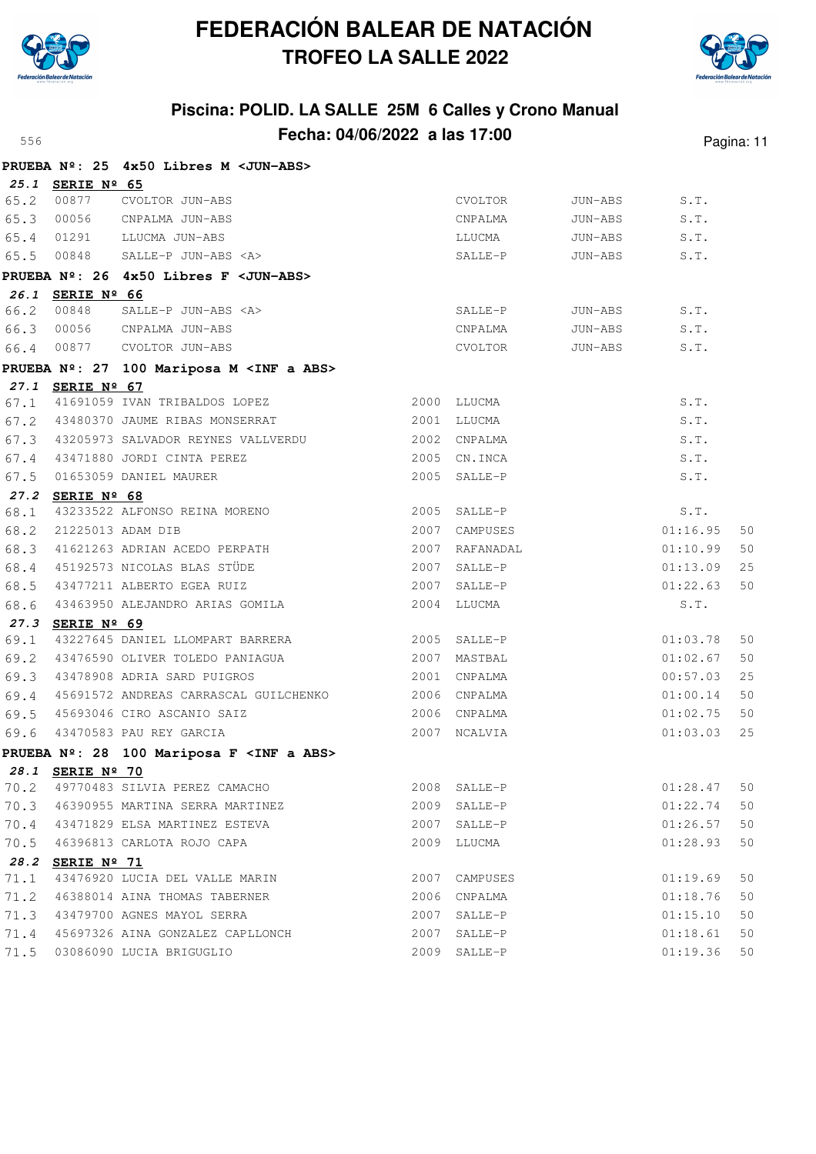



|      |                  | PRUEBA Nº: 25 4x50 Libres M < JUN-ABS>               |      |                |         |          |    |
|------|------------------|------------------------------------------------------|------|----------------|---------|----------|----|
|      | 25.1 SERIE Nº 65 |                                                      |      |                |         |          |    |
| 65.2 | 00877            | CVOLTOR JUN-ABS                                      |      | CVOLTOR        | JUN-ABS | S.T.     |    |
|      | 65.3 00056       | CNPALMA JUN-ABS                                      |      | CNPALMA        | JUN-ABS | S.T.     |    |
| 65.4 | 01291            | LLUCMA JUN-ABS                                       |      | LLUCMA         | JUN-ABS | S.T.     |    |
|      | 65.5 00848       | SALLE-P JUN-ABS <a></a>                              |      | SALLE-P        | JUN-ABS | S.T.     |    |
|      |                  | PRUEBA Nº: 26 4x50 Libres F < JUN-ABS>               |      |                |         |          |    |
|      | 26.1 SERIE Nº 66 |                                                      |      |                |         |          |    |
|      | 66.2 00848       | SALLE-P JUN-ABS <a></a>                              |      | SALLE-P        | JUN-ABS | S.T.     |    |
| 66.3 | 00056            | CNPALMA JUN-ABS                                      |      | CNPALMA        | JUN-ABS | S.T.     |    |
| 66.4 | 00877            | CVOLTOR JUN-ABS                                      |      | CVOLTOR        | JUN-ABS | S.T.     |    |
|      |                  | PRUEBA Nº: 27 100 Mariposa M <inf a="" abs=""></inf> |      |                |         |          |    |
|      | 27.1 SERIE Nº 67 |                                                      |      |                |         |          |    |
| 67.1 |                  | 41691059 IVAN TRIBALDOS LOPEZ                        |      | 2000 LLUCMA    |         | S.T.     |    |
| 67.2 |                  | 43480370 JAUME RIBAS MONSERRAT                       |      | 2001 LLUCMA    |         | S.T.     |    |
|      |                  | 67.3 43205973 SALVADOR REYNES VALLVERDU              |      | 2002 CNPALMA   |         | S.T.     |    |
| 67.4 |                  | 43471880 JORDI CINTA PEREZ                           |      | 2005 CN.INCA   |         | S.T.     |    |
| 67.5 |                  | 01653059 DANIEL MAURER                               |      | 2005 SALLE-P   |         | S.T.     |    |
|      | 27.2 SERIE Nº 68 |                                                      |      |                |         |          |    |
| 68.1 |                  | 43233522 ALFONSO REINA MORENO                        |      | 2005 SALLE-P   |         | S.T.     |    |
| 68.2 |                  | 21225013 ADAM DIB                                    | 2007 | CAMPUSES       |         | 01:16.95 | 50 |
| 68.3 |                  | 41621263 ADRIAN ACEDO PERPATH                        |      | 2007 RAFANADAL |         | 01:10.99 | 50 |
| 68.4 |                  | 45192573 NICOLAS BLAS STÜDE                          |      | 2007 SALLE-P   |         | 01:13.09 | 25 |
| 68.5 |                  | 43477211 ALBERTO EGEA RUIZ                           |      | 2007 SALLE-P   |         | 01:22.63 | 50 |
| 68.6 |                  | 43463950 ALEJANDRO ARIAS GOMILA                      |      | 2004 LLUCMA    |         | S.T.     |    |
|      | 27.3 SERIE Nº 69 |                                                      |      |                |         |          |    |
| 69.1 |                  | 43227645 DANIEL LLOMPART BARRERA                     |      | 2005 SALLE-P   |         | 01:03.78 | 50 |
| 69.2 |                  | 43476590 OLIVER TOLEDO PANIAGUA                      |      | 2007 MASTBAL   |         | 01:02.67 | 50 |
| 69.3 |                  | 43478908 ADRIA SARD PUIGROS                          |      | 2001 CNPALMA   |         | 00:57.03 | 25 |
| 69.4 |                  | 45691572 ANDREAS CARRASCAL GUILCHENKO                |      | 2006 CNPALMA   |         | 01:00.14 | 50 |
| 69.5 |                  | 45693046 CIRO ASCANIO SAIZ                           |      | 2006 CNPALMA   |         | 01:02.75 | 50 |
| 69.6 |                  | 43470583 PAU REY GARCIA                              |      | 2007 NCALVIA   |         | 01:03.03 | 25 |
|      |                  | PRUEBA Nº: 28 100 Mariposa F <inf a="" abs=""></inf> |      |                |         |          |    |
|      | 28.1 SERIE Nº 70 |                                                      |      |                |         |          |    |
| 70.2 |                  | 49770483 SILVIA PEREZ CAMACHO                        |      | 2008 SALLE-P   |         | 01:28.47 | 50 |
| 70.3 |                  | 46390955 MARTINA SERRA MARTINEZ                      |      | 2009 SALLE-P   |         | 01:22.74 | 50 |
| 70.4 |                  | 43471829 ELSA MARTINEZ ESTEVA                        |      | 2007 SALLE-P   |         | 01:26.57 | 50 |
| 70.5 |                  | 46396813 CARLOTA ROJO CAPA                           |      | 2009 LLUCMA    |         | 01:28.93 | 50 |
| 28.2 | SERIE Nº 71      |                                                      |      |                |         |          |    |
| 71.1 |                  | 43476920 LUCIA DEL VALLE MARIN                       |      | 2007 CAMPUSES  |         | 01:19.69 | 50 |
| 71.2 |                  | 46388014 AINA THOMAS TABERNER                        |      | 2006 CNPALMA   |         | 01:18.76 | 50 |
| 71.3 |                  | 43479700 AGNES MAYOL SERRA                           | 2007 | SALLE-P        |         | 01:15.10 | 50 |
| 71.4 |                  | 45697326 AINA GONZALEZ CAPLLONCH                     | 2007 | SALLE-P        |         | 01:18.61 | 50 |
| 71.5 |                  | 03086090 LUCIA BRIGUGLIO                             |      | 2009 SALLE-P   |         | 01:19.36 | 50 |
|      |                  |                                                      |      |                |         |          |    |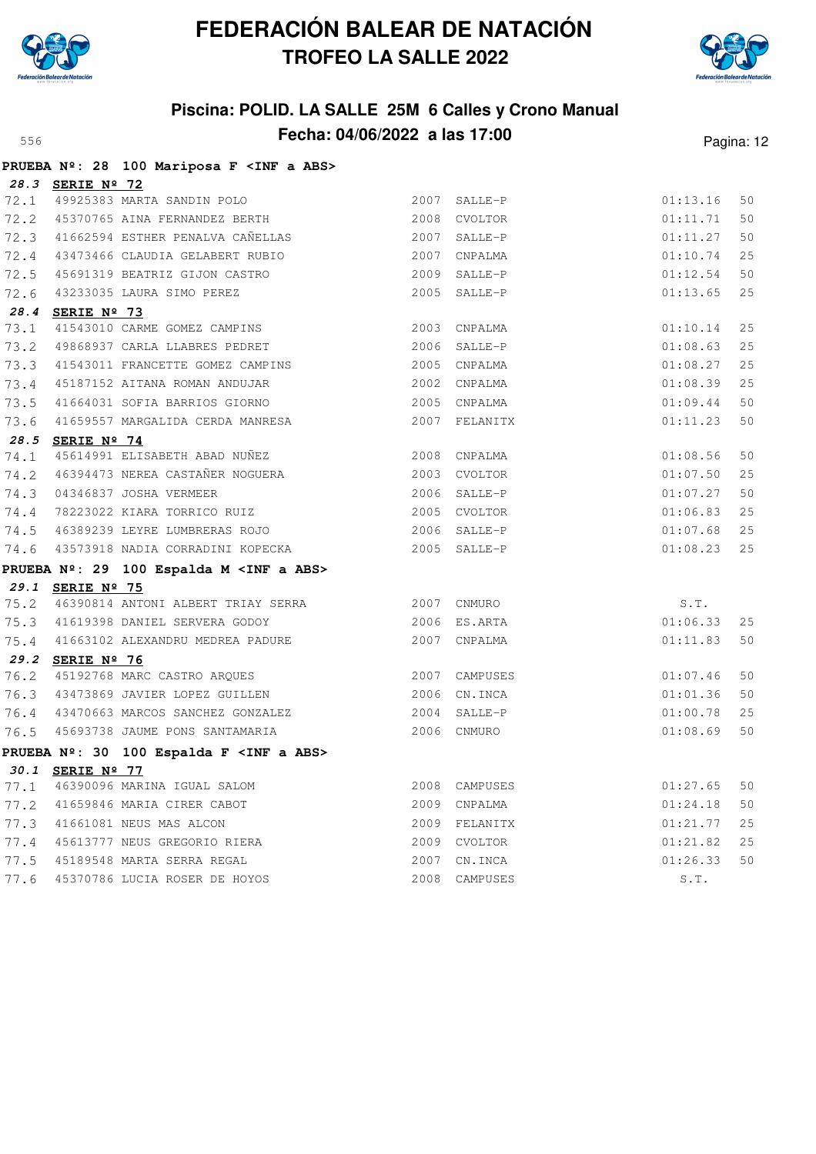



|      |                  | PRUEBA Nº: 28 100 Mariposa F <inf a="" abs=""></inf> |      |               |          |    |
|------|------------------|------------------------------------------------------|------|---------------|----------|----|
|      | 28.3 SERIE Nº 72 | 72.1 49925383 MARTA SANDIN POLO                      |      | 2007 SALLE-P  | 01:13.16 | 50 |
|      |                  | 72.2 45370765 AINA FERNANDEZ BERTH                   | 2008 | CVOLTOR       | 01:11.71 | 50 |
|      |                  | 72.3 41662594 ESTHER PENALVA CAÑELLAS                |      |               |          |    |
|      |                  |                                                      |      | 2007 SALLE-P  | 01:11.27 | 50 |
| 72.4 |                  | 43473466 CLAUDIA GELABERT RUBIO                      | 2007 | CNPALMA       | 01:10.74 | 25 |
| 72.5 |                  | 45691319 BEATRIZ GIJON CASTRO                        |      | 2009 SALLE-P  | 01:12.54 | 50 |
| 72.6 |                  | 43233035 LAURA SIMO PEREZ                            |      | 2005 SALLE-P  | 01:13.65 | 25 |
|      | 28.4 SERIE Nº 73 |                                                      |      |               |          |    |
| 73.1 |                  | 41543010 CARME GOMEZ CAMPINS                         |      | 2003 CNPALMA  | 01:10.14 | 25 |
| 73.2 |                  | 49868937 CARLA LLABRES PEDRET                        |      | 2006 SALLE-P  | 01:08.63 | 25 |
| 73.3 |                  | 41543011 FRANCETTE GOMEZ CAMPINS                     | 2005 | CNPALMA       | 01:08.27 | 25 |
| 73.4 |                  | 45187152 AITANA ROMAN ANDUJAR                        | 2002 | CNPALMA       | 01:08.39 | 25 |
| 73.5 |                  | 41664031 SOFIA BARRIOS GIORNO                        |      | 2005 CNPALMA  | 01:09.44 | 50 |
| 73.6 |                  | 41659557 MARGALIDA CERDA MANRESA                     | 2007 | FELANITX      | 01:11.23 | 50 |
|      | 28.5 SERIE Nº 74 |                                                      |      |               |          |    |
| 74.1 |                  | 45614991 ELISABETH ABAD NUÑEZ                        |      | 2008 CNPALMA  | 01:08.56 | 50 |
|      |                  | 74.2 46394473 NEREA CASTAÑER NOGUERA                 |      | 2003 CVOLTOR  | 01:07.50 | 25 |
| 74.3 |                  | 04346837 JOSHA VERMEER                               |      | 2006 SALLE-P  | 01:07.27 | 50 |
| 74.4 |                  | 78223022 KIARA TORRICO RUIZ                          |      | 2005 CVOLTOR  | 01:06.83 | 25 |
| 74.5 |                  | 46389239 LEYRE LUMBRERAS ROJO                        |      | 2006 SALLE-P  | 01:07.68 | 25 |
|      |                  | 74.6 43573918 NADIA CORRADINI KOPECKA                |      | 2005 SALLE-P  | 01:08.23 | 25 |
|      |                  | PRUEBA Nº: 29 100 Espalda M <inf a="" abs=""></inf>  |      |               |          |    |
|      | 29.1 SERIE Nº 75 |                                                      |      |               |          |    |
| 75.2 |                  | 46390814 ANTONI ALBERT TRIAY SERRA 2007 CNMURO       |      |               | S.T.     |    |
|      |                  | 75.3 41619398 DANIEL SERVERA GODOY                   |      | 2006 ES.ARTA  | 01:06.33 | 25 |
|      |                  | 75.4 41663102 ALEXANDRU MEDREA PADURE                |      | 2007 CNPALMA  | 01:11.83 | 50 |
|      | 29.2 SERIE Nº 76 |                                                      |      |               |          |    |
| 76.2 |                  | 45192768 MARC CASTRO ARQUES                          |      | 2007 CAMPUSES | 01:07.46 | 50 |
|      |                  | 76.3 43473869 JAVIER LOPEZ GUILLEN                   |      | 2006 CN.INCA  | 01:01.36 | 50 |
|      |                  | 76.4 43470663 MARCOS SANCHEZ GONZALEZ                |      | 2004 SALLE-P  | 01:00.78 | 25 |
|      |                  | 76.5 45693738 JAUME PONS SANTAMARIA                  |      | 2006 CNMURO   | 01:08.69 | 50 |
|      |                  | PRUEBA Nº: 30 100 Espalda F <inf a="" abs=""></inf>  |      |               |          |    |
| 30.1 | SERIE Nº 77      |                                                      |      |               |          |    |
| 77.1 |                  | 46390096 MARINA IGUAL SALOM                          | 2008 | CAMPUSES      | 01:27.65 | 50 |
| 77.2 |                  | 41659846 MARIA CIRER CABOT                           | 2009 | CNPALMA       | 01:24.18 | 50 |
| 77.3 |                  | 41661081 NEUS MAS ALCON                              | 2009 | FELANITX      | 01:21.77 | 25 |
| 77.4 |                  | 45613777 NEUS GREGORIO RIERA                         | 2009 | CVOLTOR       | 01:21.82 | 25 |
| 77.5 |                  | 45189548 MARTA SERRA REGAL                           | 2007 | CN.INCA       | 01:26.33 | 50 |
| 77.6 |                  | 45370786 LUCIA ROSER DE HOYOS                        | 2008 | CAMPUSES      | S.T.     |    |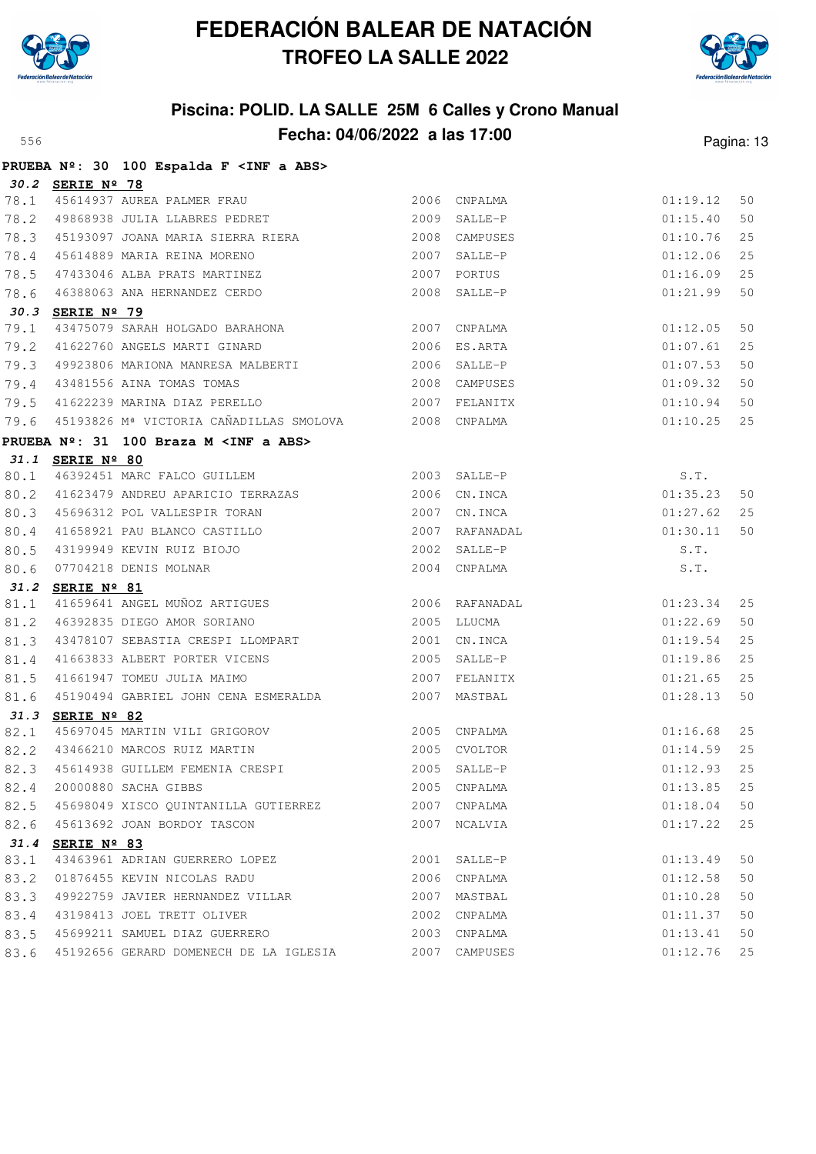



|      |                  | PRUEBA Nº: 30 100 Espalda F <inf a="" abs=""></inf>                                                                                                        |      |                |                      |    |
|------|------------------|------------------------------------------------------------------------------------------------------------------------------------------------------------|------|----------------|----------------------|----|
|      | 30.2 SERIE Nº 78 |                                                                                                                                                            |      |                |                      |    |
|      |                  | 78.1 45614937 AUREA PALMER FRAU<br>78.2 49868938 JULIA LLABRES PEDRET                                                                                      |      | 2006 CNPALMA   | 01:19.12             | 50 |
|      |                  |                                                                                                                                                            |      | 2009 SALLE-P   | 01:15.40             | 50 |
|      |                  | 78.3 45193097 JOANA MARIA SIERRA RIERA                                                                                                                     |      | 2008 CAMPUSES  | 01:10.76             | 25 |
|      |                  | 78.4 45614889 MARIA REINA MORENO<br>78.5 47433046 ALBA PRATS MARTINEZ<br>78.6 46388063 ANA HERNANDEZ CERDO                                                 | 2007 | SALLE-P        | 01:12.06             | 25 |
|      |                  |                                                                                                                                                            |      | 2007 PORTUS    | 01:16.09             | 25 |
|      |                  |                                                                                                                                                            | 2008 | SALLE-P        | 01:21.99             | 50 |
|      | 30.3 SERIE Nº 79 |                                                                                                                                                            |      |                |                      |    |
| 79.1 |                  | 43475079 SARAH HOLGADO BARAHONA 2007 CNPALMA                                                                                                               |      |                | 01:12.05             | 50 |
|      |                  | 79.2 41622760 ANGELS MARTI GINARD 2006 ES.ARTA                                                                                                             |      |                | 01:07.61             | 25 |
|      |                  | 79.3 49923806 MARIONA MANRESA MALBERTI                                                                                                                     |      | 2006 SALLE-P   | 01:07.53             | 50 |
|      |                  | 79.4 43481556 AINA TOMAS TOMAS                                                                                                                             |      | 2008 CAMPUSES  | 01:09.32             | 50 |
|      |                  | 79.5 41622239 MARINA DIAZ PERELLO 2007 FELANITX                                                                                                            |      |                | 01:10.94             | 50 |
|      |                  | 79.6 45193826 Mª VICTORIA CAÑADILLAS SMOLOVA 2008 CNPALMA                                                                                                  |      |                | 01:10.25             | 25 |
|      |                  | PRUEBA Nº: 31 100 Braza M <inf a="" abs=""></inf>                                                                                                          |      |                |                      |    |
|      | 31.1 SERIE Nº 80 |                                                                                                                                                            |      |                |                      |    |
|      |                  | 80.1 46392451 MARC FALCO GUILLEM 2003 SALLE-P                                                                                                              |      |                | S.T.                 |    |
|      |                  | 80.2 41623479 ANDREU APARICIO TERRAZAS 2006 CN.INCA                                                                                                        |      |                | 01:35.23             | 50 |
|      |                  |                                                                                                                                                            |      | 2007 CN.INCA   | 01:27.62             | 25 |
|      |                  |                                                                                                                                                            |      | 2007 RAFANADAL | 01:30.11             | 50 |
|      |                  |                                                                                                                                                            |      | 2002 SALLE-P   | S.T.                 |    |
|      |                  | 80.3 45696312 POL VALLESPIR TORAN<br>80.4 41658921 PAU BLANCO CASTILLO<br>80.5 43199949 KEVIN RUIZ BIOJO<br>80.6 07704218 DENIS MOLNAR<br>31 2 SEPIT Nº 01 |      | 2004 CNPALMA   | S.T.                 |    |
|      | 31.2 SERIE Nº 81 |                                                                                                                                                            |      |                |                      |    |
| 81.1 |                  | 41659641 ANGEL MUÑOZ ARTIGUES                                                                                                                              |      | 2006 RAFANADAL | 01:23.34             | 25 |
| 81.2 |                  | 46392835 DIEGO AMOR SORIANO 600 2005 LLUCMA                                                                                                                |      |                | 01:22.69             | 50 |
| 81.3 |                  | 43478107 SEBASTIA CRESPI LLOMPART                                                                                                                          |      | 2001 CN.INCA   | 01:19.54             | 25 |
| 81.4 |                  | 41663833 ALBERT PORTER VICENS<br>41661947 TOMEU JULIA MAIMO                                                                                                |      | 2005 SALLE-P   | 01:19.86             | 25 |
| 81.5 |                  |                                                                                                                                                            |      | 2007 FELANITX  | 01:21.65             | 25 |
| 81.6 |                  | 45190494 GABRIEL JOHN CENA ESMERALDA 2007 MASTBAL                                                                                                          |      |                | 01:28.13             | 50 |
|      | 31.3 SERIE Nº 82 | 45697045 MARTIN VILI GRIGOROV 2005 CNPALMA                                                                                                                 |      |                |                      |    |
| 82.1 |                  |                                                                                                                                                            |      |                | 01:16.68             | 25 |
|      |                  | 82.2 43466210 MARCOS RUIZ MARTIN 62.3 45614938 GUILLEM FEMENIA CRESPI (2005 SALLE-P                                                                        |      |                | 01:14.59             | 25 |
|      |                  |                                                                                                                                                            |      |                | 01:12.93             | 25 |
| 82.4 |                  | 20000880 SACHA GIBBS                                                                                                                                       |      | 2005 CNPALMA   | 01:13.85             | 25 |
|      |                  | 82.5 45698049 XISCO QUINTANILLA GUTIERREZ                                                                                                                  | 2007 | CNPALMA        | 01:18.04             | 50 |
|      |                  | 82.6 45613692 JOAN BORDOY TASCON                                                                                                                           |      | 2007 NCALVIA   | 01:17.22             | 25 |
| 83.1 | 31.4 SERIE Nº 83 | 43463961 ADRIAN GUERRERO LOPEZ                                                                                                                             |      | 2001 SALLE-P   |                      | 50 |
|      |                  | 01876455 KEVIN NICOLAS RADU                                                                                                                                |      | 2006 CNPALMA   | 01:13.49<br>01:12.58 | 50 |
| 83.2 |                  |                                                                                                                                                            |      | 2007 MASTBAL   | 01:10.28             |    |
| 83.3 |                  | 49922759 JAVIER HERNANDEZ VILLAR<br>43198413 JOEL TRETT OLIVER                                                                                             |      |                |                      | 50 |
| 83.4 |                  |                                                                                                                                                            |      | 2002 CNPALMA   | 01:11.37             | 50 |
|      |                  | 83.5 45699211 SAMUEL DIAZ GUERRERO                                                                                                                         |      | 2003 CNPALMA   | 01:13.41             | 50 |
|      |                  | 83.6 45192656 GERARD DOMENECH DE LA IGLESIA                                                                                                                |      | 2007 CAMPUSES  | 01:12.76             | 25 |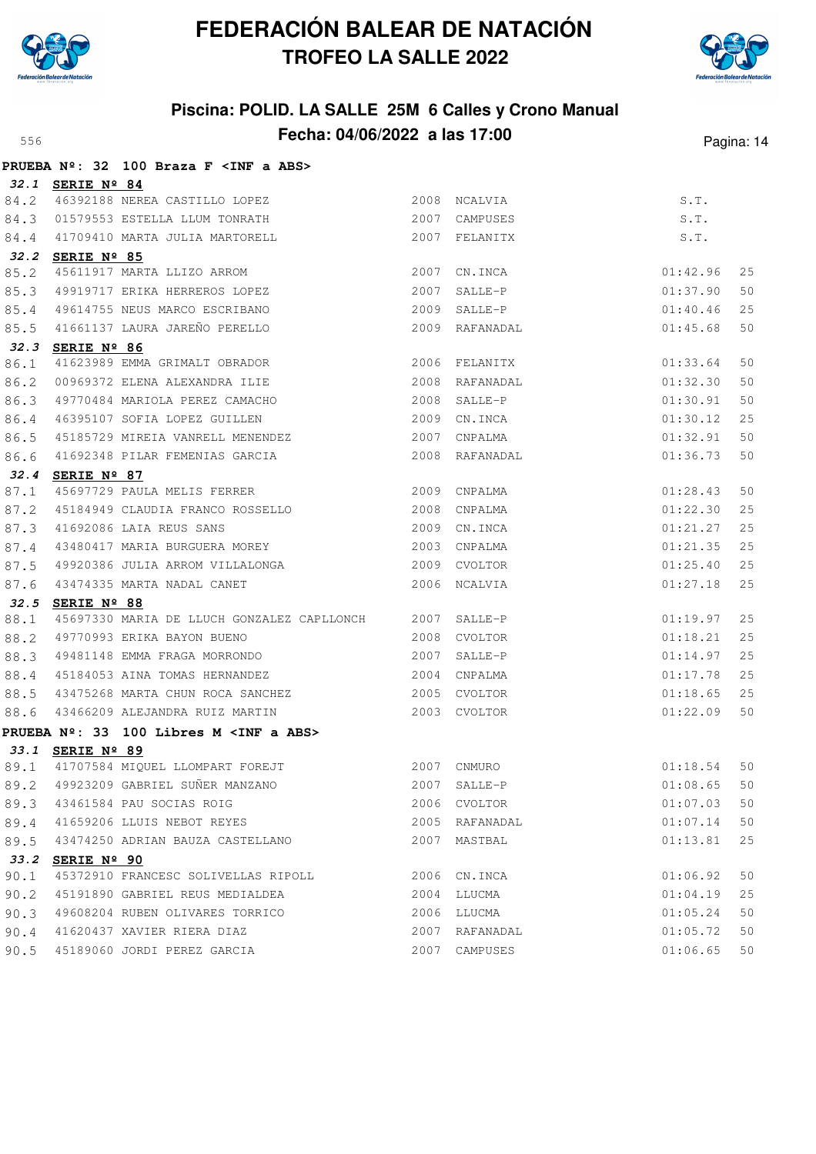



|      |                      | PRUEBA Nº: 32 100 Braza F <inf a="" abs=""></inf>                                                                |      |                |          |    |
|------|----------------------|------------------------------------------------------------------------------------------------------------------|------|----------------|----------|----|
|      | 32.1 SERIE Nº 84     |                                                                                                                  |      |                |          |    |
| 84.2 |                      | 46392188 NEREA CASTILLO LOPEZ<br>01579553 ESTELLA LLUM TONRATH                                                   |      | 2008 NCALVIA   | S.T.     |    |
| 84.3 |                      |                                                                                                                  |      | 2007 CAMPUSES  | S.T.     |    |
| 84.4 |                      | 41709410 MARTA JULIA MARTORELL                                                                                   |      | 2007 FELANITX  | S.T.     |    |
|      | 32.2 SERIE Nº 85     |                                                                                                                  |      |                |          |    |
| 85.2 |                      | 45611917 MARTA LLIZO ARROM                                                                                       |      | 2007 CN. INCA  | 01:42.96 | 25 |
| 85.3 |                      | 49919717 ERIKA HERREROS LOPEZ                                                                                    | 2007 | SALLE-P        | 01:37.90 | 50 |
| 85.4 |                      | 49614755 NEUS MARCO ESCRIBANO                                                                                    |      | 2009 SALLE-P   | 01:40.46 | 25 |
| 85.5 |                      | 41661137 LAURA JAREÑO PERELLO                                                                                    |      | 2009 RAFANADAL | 01:45.68 | 50 |
|      | 32.3 SERIE Nº 86     |                                                                                                                  |      |                |          |    |
| 86.1 |                      | 41623989 EMMA GRIMALT OBRADOR                                                                                    |      | 2006 FELANITX  | 01:33.64 | 50 |
| 86.2 |                      | 00969372 ELENA ALEXANDRA ILIE<br>49770484 MARIOLA PEREZ CAMACHO                                                  |      | 2008 RAFANADAL | 01:32.30 | 50 |
| 86.3 |                      |                                                                                                                  |      | 2008 SALLE-P   | 01:30.91 | 50 |
| 86.4 |                      | 46395107 SOFIA LOPEZ GUILLEN                                                                                     |      | 2009 CN.INCA   | 01:30.12 | 25 |
| 86.5 |                      | 45185729 MIREIA VANRELL MENENDEZ                                                                                 | 2007 | CNPALMA        | 01:32.91 | 50 |
| 86.6 |                      | 41692348 PILAR FEMENIAS GARCIA                                                                                   |      | 2008 RAFANADAL | 01:36.73 | 50 |
| 32.4 | SERIE $N^{\circ}$ 87 |                                                                                                                  |      |                |          |    |
| 87.1 |                      | 45697729 PAULA MELIS FERRER 2009 CNPALMA                                                                         |      |                | 01:28.43 | 50 |
| 87.2 |                      | 45184949 CLAUDIA FRANCO ROSSELLO<br>2008 CNPALMA<br>11002000 LAIA REUS SANS<br>43480417 MARIA BURGUERA MOREY<br> |      |                | 01:22.30 | 25 |
| 87.3 |                      |                                                                                                                  |      | 2009 CN. INCA  | 01:21.27 | 25 |
| 87.4 |                      |                                                                                                                  |      | 2003 CNPALMA   | 01:21.35 | 25 |
| 87.5 |                      |                                                                                                                  |      | 2009 CVOLTOR   | 01:25.40 | 25 |
| 87.6 |                      | 43474335 MARTA NADAL CANET                                                                                       |      | 2006 NCALVIA   | 01:27.18 | 25 |
|      | 32.5 SERIE Nº 88     |                                                                                                                  |      |                |          |    |
| 88.1 |                      | 45697330 MARIA DE LLUCH GONZALEZ CAPLLONCH 2007 SALLE-P                                                          |      |                | 01:19.97 | 25 |
| 88.2 |                      | 49770993 ERIKA BAYON BUENO                                                                                       |      | 2008 CVOLTOR   | 01:18.21 | 25 |
| 88.3 |                      | 49481148 EMMA FRAGA MORRONDO                                                                                     | 2007 | SALLE-P        | 01:14.97 | 25 |
| 88.4 |                      | 45184053 AINA TOMAS HERNANDEZ                                                                                    |      | 2004 CNPALMA   | 01:17.78 | 25 |
| 88.5 |                      | 43475268 MARTA CHUN ROCA SANCHEZ                                                                                 |      | 2005 CVOLTOR   | 01:18.65 | 25 |
| 88.6 |                      | 43466209 ALEJANDRA RUIZ MARTIN                                                                                   |      | 2003 CVOLTOR   | 01:22.09 | 50 |
|      |                      | PRUEBA Nº: 33 100 Libres M <inf a="" abs=""></inf>                                                               |      |                |          |    |
|      | 33.1 SERIE Nº 89     |                                                                                                                  |      |                |          |    |
|      |                      | 89.1 41707584 MIQUEL LLOMPART FOREJT 2007 CNMURO                                                                 |      |                | 01:18.54 | 50 |
| 89.2 |                      | 49923209 GABRIEL SUÑER MANZANO                                                                                   | 2007 | SALLE-P        | 01:08.65 | 50 |
| 89.3 |                      | 43461584 PAU SOCIAS ROIG                                                                                         | 2006 | CVOLTOR        | 01:07.03 | 50 |
| 89.4 |                      | 41659206 LLUIS NEBOT REYES                                                                                       | 2005 | RAFANADAL      | 01:07.14 | 50 |
| 89.5 |                      | 43474250 ADRIAN BAUZA CASTELLANO                                                                                 | 2007 | MASTBAL        | 01:13.81 | 25 |
|      | 33.2 SERIE Nº 90     |                                                                                                                  |      |                |          |    |
| 90.1 |                      | 45372910 FRANCESC SOLIVELLAS RIPOLL                                                                              |      | 2006 CN. INCA  | 01:06.92 | 50 |
| 90.2 |                      | 45191890 GABRIEL REUS MEDIALDEA                                                                                  | 2004 | LLUCMA         | 01:04.19 | 25 |
| 90.3 |                      | 49608204 RUBEN OLIVARES TORRICO                                                                                  | 2006 | LLUCMA         | 01:05.24 | 50 |
| 90.4 |                      | 41620437 XAVIER RIERA DIAZ                                                                                       | 2007 | RAFANADAL      | 01:05.72 | 50 |
| 90.5 |                      | 45189060 JORDI PEREZ GARCIA                                                                                      | 2007 | CAMPUSES       | 01:06.65 | 50 |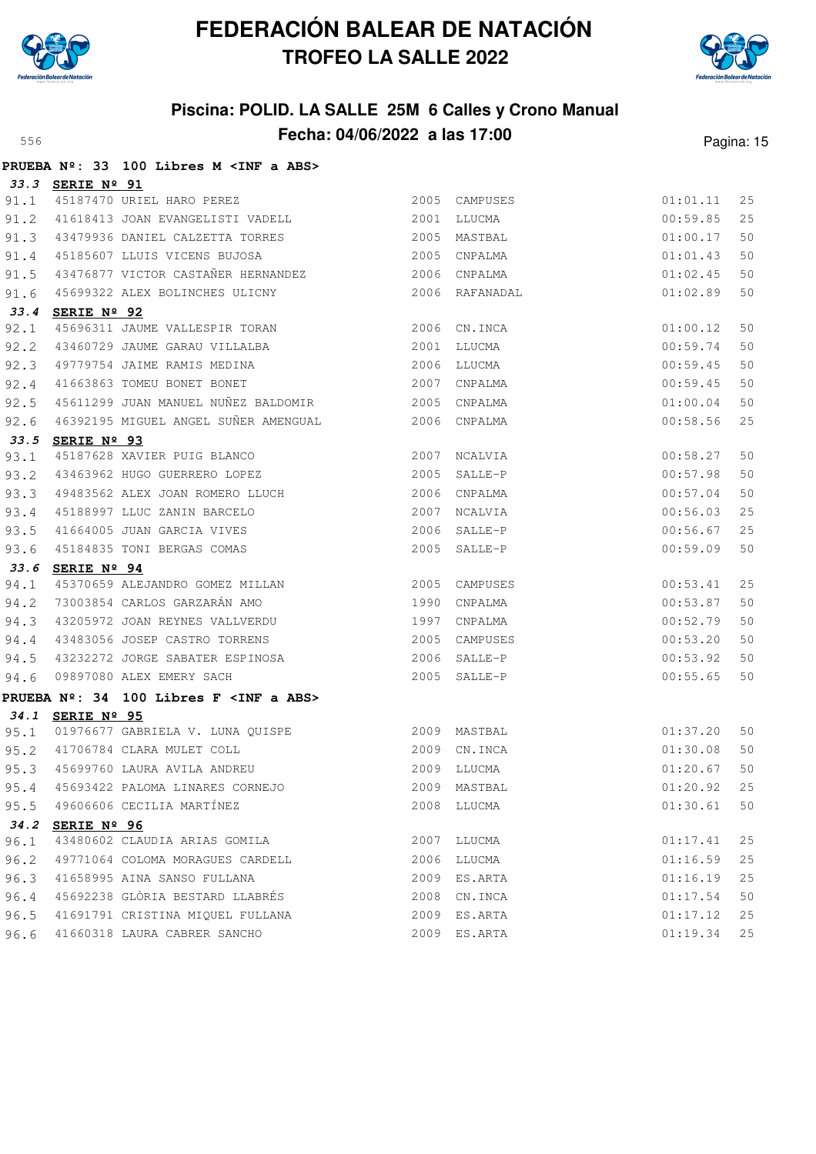



|      |                  | PRUEBA Nº: 33 100 Libres M <inf a="" abs=""></inf>                         |      |                |          |    |
|------|------------------|----------------------------------------------------------------------------|------|----------------|----------|----|
|      | 33.3 SERIE Nº 91 |                                                                            |      |                |          |    |
|      |                  | 91.1 45187470 URIEL HARO PEREZ                                             |      | 2005 CAMPUSES  | 01:01.11 | 25 |
|      |                  | 91.2 41618413 JOAN EVANGELISTI VADELL                                      |      | 2001 LLUCMA    | 00:59.85 | 25 |
|      |                  | 91.3 43479936 DANIEL CALZETTA TORRES                                       |      | 2005 MASTBAL   | 01:00.17 | 50 |
| 91.4 |                  | 45185607 LLUIS VICENS BUJOSA                                               | 2005 | CNPALMA        | 01:01.43 | 50 |
| 91.5 |                  | 43476877 VICTOR CASTAÑER HERNANDEZ 2006 CNPALMA                            |      |                | 01:02.45 | 50 |
| 91.6 |                  | 45699322 ALEX BOLINCHES ULICNY                                             |      | 2006 RAFANADAL | 01:02.89 | 50 |
| 33.4 | SERIE Nº 92      |                                                                            |      |                |          |    |
| 92.1 |                  | 45696311 JAUME VALLESPIR TORAN 2006 CN.INCA                                |      |                | 01:00.12 | 50 |
| 92.2 |                  | 43460729 JAUME GARAU VILLALBA 2001                                         |      | LLUCMA         | 00:59.74 | 50 |
| 92.3 |                  | 49779754 JAIME RAMIS MEDINA                                                |      | 2006 LLUCMA    | 00:59.45 | 50 |
| 92.4 |                  | 43773734 SAILLE NELLES ALLE AND 1999                                       |      | 2007 CNPALMA   | 00:59.45 | 50 |
| 92.5 |                  | 45611299 JUAN MANUEL NUÑEZ BALDOMIR 2005 CNPALMA                           |      |                | 01:00.04 | 50 |
|      |                  |                                                                            |      |                | 00:58.56 | 25 |
|      | 33.5 SERIE Nº 93 |                                                                            |      |                |          |    |
| 93.1 |                  | 3ERIE N- 33<br>45187628 XAVIER PUIG BLANCO<br>43463962 HUGO GUERRERO LOPEZ |      | 2007 NCALVIA   | 00:58.27 | 50 |
| 93.2 |                  |                                                                            |      | 2005 SALLE-P   | 00:57.98 | 50 |
| 93.3 |                  | 49483562 ALEX JOAN ROMERO LLUCH                                            |      | 2006 CNPALMA   | 00:57.04 | 50 |
|      |                  | 93.4 45188997 LLUC ZANIN BARCELO                                           | 2007 | NCALVIA        | 00:56.03 | 25 |
| 93.5 |                  | 41664005 JUAN GARCIA VIVES                                                 |      | 2006 SALLE-P   | 00:56.67 | 25 |
| 93.6 |                  | 45184835 TONI BERGAS COMAS                                                 |      | 2005 SALLE-P   | 00:59.09 | 50 |
| 33.6 | SERIE Nº 94      |                                                                            |      |                |          |    |
| 94.1 |                  | 45370659 ALEJANDRO GOMEZ MILLAN 2005                                       |      | CAMPUSES       | 00:53.41 | 25 |
| 94.2 |                  | 73003854 CARLOS GARZARÁN AMO                                               | 1990 | CNPALMA        | 00:53.87 | 50 |
|      |                  | 94.3 43205972 JOAN REYNES VALLVERDU                                        | 1997 | CNPALMA        | 00:52.79 | 50 |
| 94.4 |                  | 43483056 JOSEP CASTRO TORRENS                                              |      | 2005 CAMPUSES  | 00:53.20 | 50 |
| 94.5 |                  | 43232272 JORGE SABATER ESPINOSA 2006 SALLE-P                               |      |                | 00:53.92 | 50 |
| 94.6 |                  | 09897080 ALEX EMERY SACH                                                   |      | 2005 SALLE-P   | 00:55.65 | 50 |
|      |                  | PRUEBA Nº: 34 100 Libres F <inf a="" abs=""></inf>                         |      |                |          |    |
|      | 34.1 SERIE Nº 95 |                                                                            |      |                |          |    |
|      |                  | 95.1 01976677 GABRIELA V. LUNA QUISPE 2009 MASTBAL                         |      |                | 01:37.20 | 50 |
|      |                  | $2009 \t CN. INCA$<br>95.2 41706784 CLARA MULET COLL                       |      |                | 01:30.08 | 50 |
|      |                  | 95.3 45699760 LAURA AVILA ANDREU 2009 LLUCMA 2009 LLUCMA 01:20.67 50       |      |                |          |    |
|      |                  | 95.4 45693422 PALOMA LINARES CORNEJO                                       |      | 2009 MASTBAL   | 01:20.92 | 25 |
|      |                  | 95.5 49606606 CECILIA MARTÍNEZ                                             | 2008 | LLUCMA         | 01:30.61 | 50 |
|      | 34.2 SERIE Nº 96 |                                                                            |      |                |          |    |
| 96.1 |                  | 43480602 CLAUDIA ARIAS GOMILA                                              | 2007 | LLUCMA         | 01:17.41 | 25 |
| 96.2 |                  | 49771064 COLOMA MORAGUES CARDELL                                           | 2006 | LLUCMA         | 01:16.59 | 25 |
| 96.3 |                  | 41658995 AINA SANSO FULLANA                                                | 2009 | ES.ARTA        | 01:16.19 | 25 |
| 96.4 |                  | 45692238 GLÒRIA BESTARD LLABRÉS                                            | 2008 | CN.INCA        | 01:17.54 | 50 |
| 96.5 |                  | 41691791 CRISTINA MIQUEL FULLANA                                           |      | 2009 ES.ARTA   | 01:17.12 | 25 |
| 96.6 |                  | 41660318 LAURA CABRER SANCHO                                               |      | 2009 ES.ARTA   | 01:19.34 | 25 |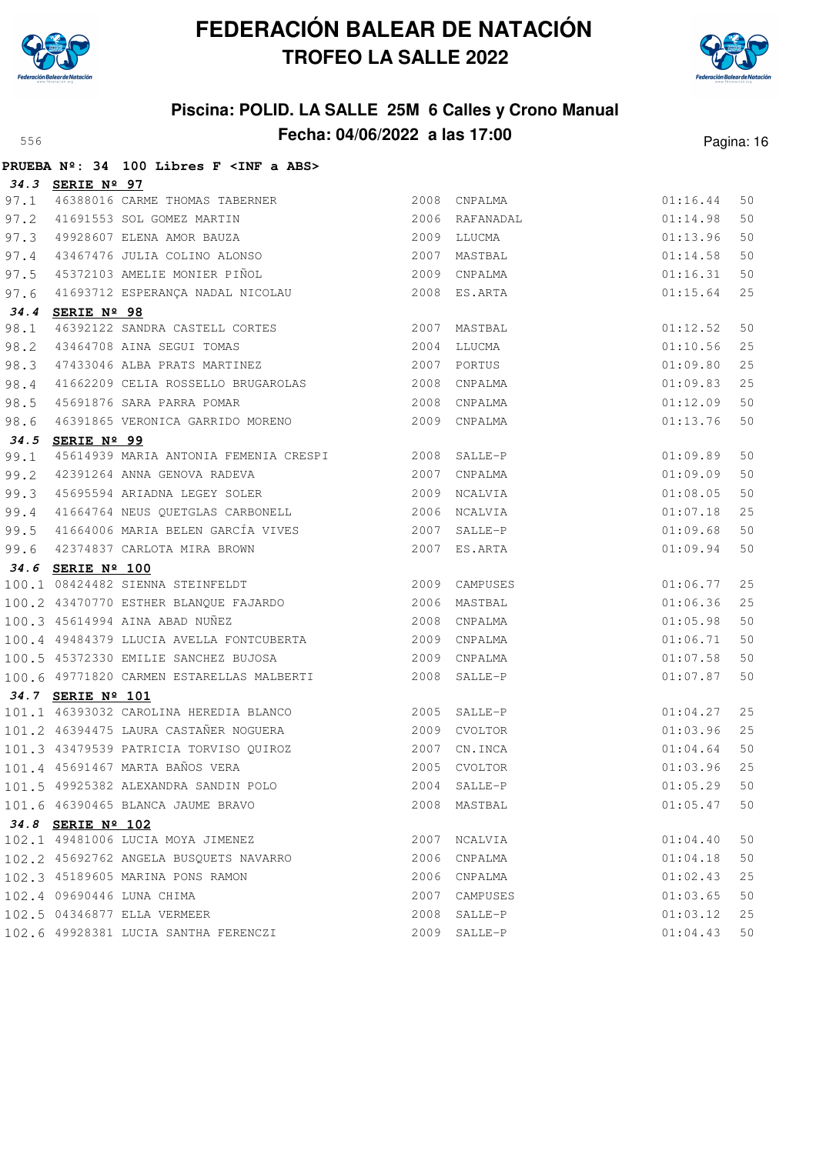



|      |                   | PRUEBA Nº: 34 100 Libres F <inf a="" abs=""></inf>                                                                 |      |                         |                      |          |
|------|-------------------|--------------------------------------------------------------------------------------------------------------------|------|-------------------------|----------------------|----------|
|      | 34.3 SERIE Nº 97  |                                                                                                                    |      |                         |                      |          |
|      |                   | 97.1 46388016 CARME THOMAS TABERNER                                                                                |      | 2008 CNPALMA            | 01:16.44             | 50       |
|      |                   | 97.2 41691553 SOL GOMEZ MARTIN 2006 RAFANADAL<br>97.3 49928607 ELENA AMOR BAUZA 2009 LLUCMA 2009 2009 2007 MASTBAL |      |                         | 01:14.98             | 50       |
|      |                   |                                                                                                                    |      |                         | 01:13.96             | 50       |
|      |                   |                                                                                                                    |      |                         | 01:14.58             | 50       |
|      |                   | 97.5 45372103 AMELIE MONIER PIÑOL 2009                                                                             |      | CNPALMA                 | 01:16.31             | 50       |
| 97.6 |                   | 41693712 ESPERANÇA NADAL NICOLAU                                                                                   |      | 2008 ES.ARTA            | 01:15.64             | 25       |
|      | 34.4 SERIE Nº 98  |                                                                                                                    |      |                         |                      |          |
| 98.1 |                   | 46392122 SANDRA CASTELL CORTES 2007 MASTBAL 2007 ALUCMA                                                            |      |                         | 01:12.52             | 50       |
| 98.2 |                   |                                                                                                                    |      |                         | 01:10.56             | 25       |
|      |                   | 98.3 47433046 ALBA PRATS MARTINEZ 2007 PORTUS                                                                      |      |                         | 01:09.80             | 25       |
| 98.4 |                   | 41662209 CELIA ROSSELLO BRUGAROLAS 2008 CNPALMA                                                                    |      |                         | 01:09.83             | 25       |
| 98.5 |                   | 45691876 SARA PARRA POMAR 2008 CNPALMA                                                                             |      |                         | 01:12.09             | 50       |
| 98.6 |                   | 46391865 VERONICA GARRIDO MORENO                                                                                   |      | 2009 CNPALMA            | 01:13.76             | 50       |
|      | 34.5 SERIE Nº 99  |                                                                                                                    |      |                         |                      |          |
| 99.1 |                   | 45614939 MARIA ANTONIA FEMENIA CRESPI 2008 SALLE-P                                                                 |      |                         | 01:09.89             | 50       |
| 99.2 |                   | 12391264 ANNA GENOVA RADEVA<br>2007 CNPALMA 45695594 ARIADNA LEGEY SOLER<br>2009 NCALVIA                           |      |                         | 01:09.09             | 50       |
| 99.3 |                   |                                                                                                                    |      |                         | 01:08.05             | 50       |
|      |                   | 99.4 41664764 NEUS QUETGLAS CARBONELL 2006 NCALVIA                                                                 |      |                         | 01:07.18             | 25       |
|      |                   |                                                                                                                    |      |                         | 01:09.68             | 50       |
|      |                   | 99.5 41664006 MARIA BELEN GARCÍA VIVES (2007 SALLE-P)<br>99.6 42374837 CARLOTA MIRA BROWN (2007 ES.ARTA            |      |                         | 01:09.94             | 50       |
|      | 34.6 SERIE Nº 100 |                                                                                                                    |      |                         |                      |          |
|      |                   | 100.1 08424482 SIENNA STEINFELDT 2009 CAMPUSES                                                                     |      |                         | 01:06.77             | 25       |
|      |                   | 100.2 43470770 ESTHER BLANQUE FAJARDO 2006                                                                         |      | MASTBAL                 | 01:06.36             | 25       |
|      |                   | 100.3 45614994 AINA ABAD NUÑEZ                                                                                     | 2008 | CNPALMA                 | 01:05.98             | 50       |
|      |                   | 100.4 49484379 LLUCIA AVELLA FONTCUBERTA 2009 CNPALMA                                                              |      |                         | 01:06.71             | 50       |
|      |                   | 100.5 45372330 EMILIE SANCHEZ BUJOSA 2009 CNPALMA                                                                  |      |                         | 01:07.58             | 50       |
|      |                   | 100.6 49771820 CARMEN ESTARELLAS MALBERTI 2008                                                                     |      | SALLE-P                 | 01:07.87             | 50       |
|      | 34.7 SERIE Nº 101 | 101.1 46393032 CAROLINA HEREDIA BLANCO 2005 SALLE-P                                                                |      |                         |                      |          |
|      |                   | 101.2 46394475 LAURA CASTAÑER NOGUERA                                                                              |      |                         | 01:04.27             | 25       |
|      |                   |                                                                                                                    |      | 2009 CVOLTOR            | 01:03.96             | 25       |
|      |                   | 101.3 43479539 PATRICIA TORVISO QUIROZ 2007 CN.INCA<br>101.4 45691467 MARTA BAÑOS VERA 612 1005 CVOLTOR            |      |                         | 01:04.64             | 50       |
|      |                   |                                                                                                                    |      | $01:03.96$ 25           |                      |          |
|      |                   | 101.5 49925382 ALEXANDRA SANDIN POLO                                                                               |      | 2004 SALLE-P            | 01:05.29             | 50       |
|      |                   | 101.6 46390465 BLANCA JAUME BRAVO                                                                                  |      | 2008 MASTBAL            | 01:05.47             | 50       |
|      | 34.8 SERIE Nº 102 | 102.1 49481006 LUCIA MOYA JIMENEZ                                                                                  | 2007 | NCALVIA                 | 01:04.40             | 50       |
|      |                   | 102.2 45692762 ANGELA BUSQUETS NAVARRO                                                                             |      | 2006 CNPALMA            | 01:04.18             | 50       |
|      |                   |                                                                                                                    |      | 2006 CNPALMA            | 01:02.43             | 25       |
|      |                   | 102.3 45189605 MARINA PONS RAMON<br>102.4 09690446 LUNA CHIMA                                                      |      |                         |                      |          |
|      |                   | 102.5 04346877 ELLA VERMEER                                                                                        |      | 2007 CAMPUSES           | 01:03.65<br>01:03.12 | 50       |
|      |                   | 102.6 49928381 LUCIA SANTHA FERENCZI                                                                               | 2008 | SALLE-P<br>2009 SALLE-P | 01:04.43             | 25<br>50 |
|      |                   |                                                                                                                    |      |                         |                      |          |